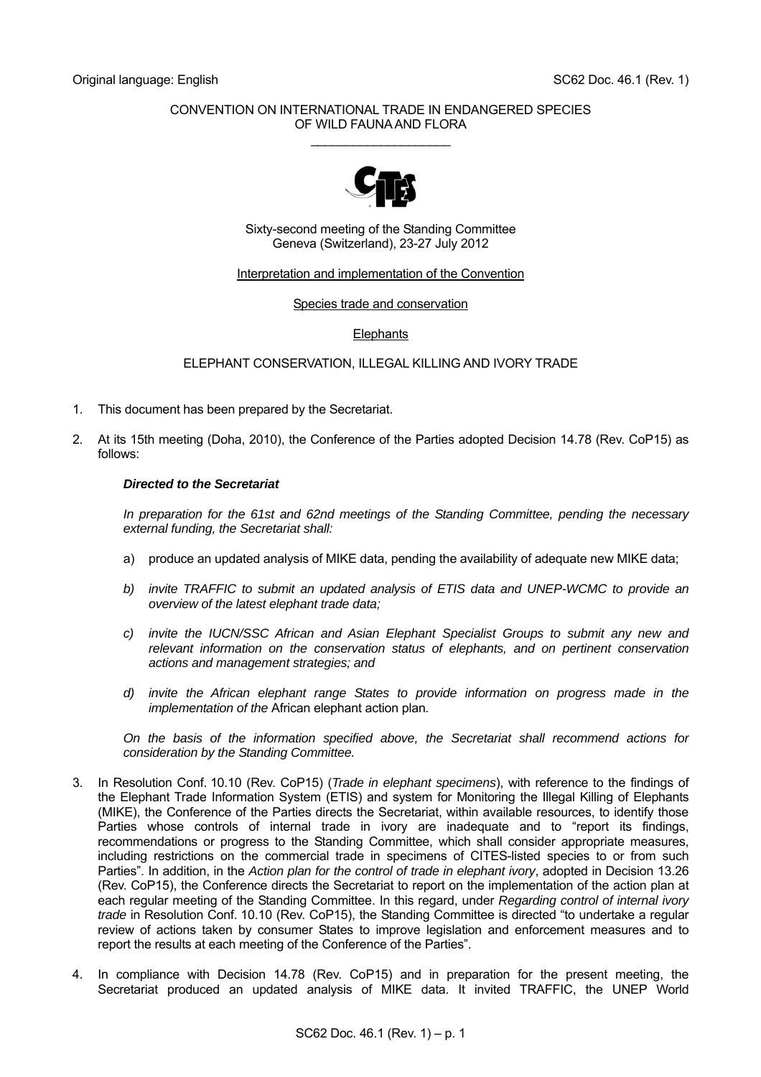## CONVENTION ON INTERNATIONAL TRADE IN ENDANGERED SPECIES OF WILD FAUNA AND FLORA  $\overline{\phantom{a}}$  , where  $\overline{\phantom{a}}$  , where  $\overline{\phantom{a}}$  , where  $\overline{\phantom{a}}$



Sixty-second meeting of the Standing Committee Geneva (Switzerland), 23-27 July 2012

## Interpretation and implementation of the Convention

Species trade and conservation

## **Elephants**

ELEPHANT CONSERVATION, ILLEGAL KILLING AND IVORY TRADE

- 1. This document has been prepared by the Secretariat.
- 2. At its 15th meeting (Doha, 2010), the Conference of the Parties adopted Decision 14.78 (Rev. CoP15) as follows:

## *Directed to the Secretariat*

 *In preparation for the 61st and 62nd meetings of the Standing Committee, pending the necessary external funding, the Secretariat shall:* 

- a) produce an updated analysis of MIKE data, pending the availability of adequate new MIKE data;
- *b) invite TRAFFIC to submit an updated analysis of ETIS data and UNEP-WCMC to provide an overview of the latest elephant trade data;*
- *c) invite the IUCN/SSC African and Asian Elephant Specialist Groups to submit any new and relevant information on the conservation status of elephants, and on pertinent conservation actions and management strategies; and*
- *d) invite the African elephant range States to provide information on progress made in the implementation of the* African elephant action plan*.*

 *On the basis of the information specified above, the Secretariat shall recommend actions for consideration by the Standing Committee.* 

- 3. In Resolution Conf. 10.10 (Rev. CoP15) (*Trade in elephant specimens*), with reference to the findings of the Elephant Trade Information System (ETIS) and system for Monitoring the Illegal Killing of Elephants (MIKE), the Conference of the Parties directs the Secretariat, within available resources, to identify those Parties whose controls of internal trade in ivory are inadequate and to "report its findings, recommendations or progress to the Standing Committee, which shall consider appropriate measures, including restrictions on the commercial trade in specimens of CITES-listed species to or from such Parties". In addition, in the *Action plan for the control of trade in elephant ivory*, adopted in Decision 13.26 (Rev. CoP15), the Conference directs the Secretariat to report on the implementation of the action plan at each regular meeting of the Standing Committee. In this regard, under *Regarding control of internal ivory trade* in Resolution Conf. 10.10 (Rev. CoP15), the Standing Committee is directed "to undertake a regular review of actions taken by consumer States to improve legislation and enforcement measures and to report the results at each meeting of the Conference of the Parties".
- 4. In compliance with Decision 14.78 (Rev. CoP15) and in preparation for the present meeting, the Secretariat produced an updated analysis of MIKE data. It invited TRAFFIC, the UNEP World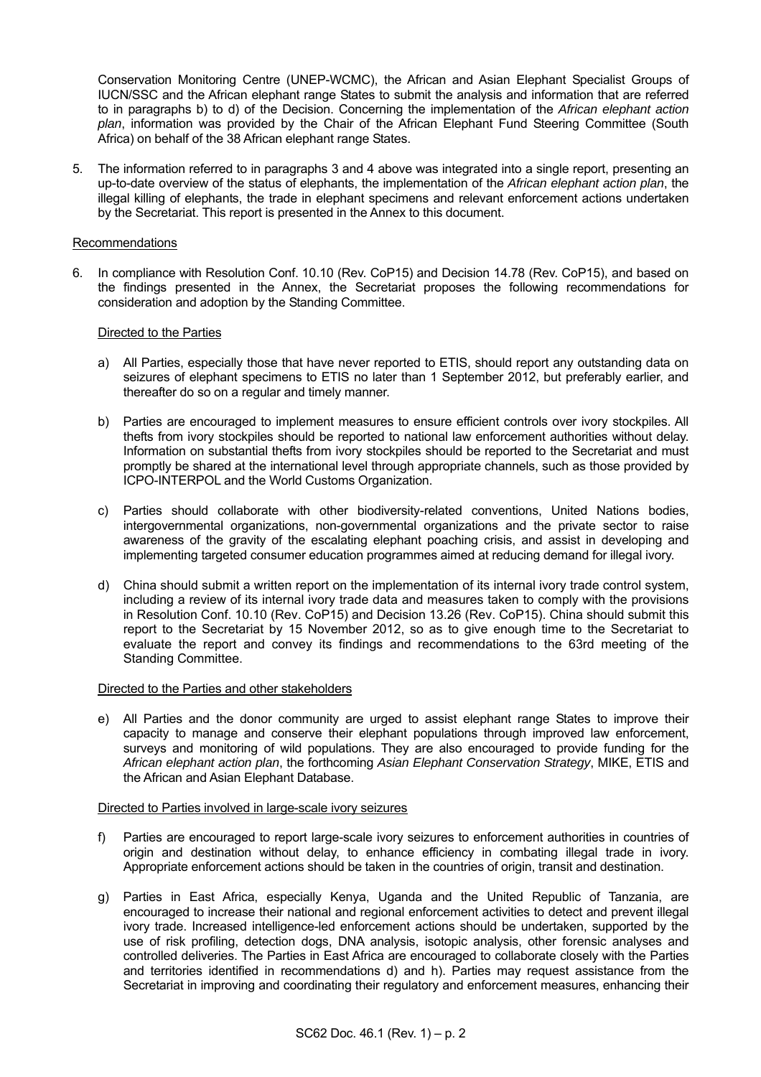Conservation Monitoring Centre (UNEP-WCMC), the African and Asian Elephant Specialist Groups of IUCN/SSC and the African elephant range States to submit the analysis and information that are referred to in paragraphs b) to d) of the Decision. Concerning the implementation of the *African elephant action plan*, information was provided by the Chair of the African Elephant Fund Steering Committee (South Africa) on behalf of the 38 African elephant range States.

5. The information referred to in paragraphs 3 and 4 above was integrated into a single report, presenting an up-to-date overview of the status of elephants, the implementation of the *African elephant action plan*, the illegal killing of elephants, the trade in elephant specimens and relevant enforcement actions undertaken by the Secretariat. This report is presented in the Annex to this document.

## Recommendations

6. In compliance with Resolution Conf. 10.10 (Rev. CoP15) and Decision 14.78 (Rev. CoP15), and based on the findings presented in the Annex, the Secretariat proposes the following recommendations for consideration and adoption by the Standing Committee.

## Directed to the Parties

- a) All Parties, especially those that have never reported to ETIS, should report any outstanding data on seizures of elephant specimens to ETIS no later than 1 September 2012, but preferably earlier, and thereafter do so on a regular and timely manner.
- b) Parties are encouraged to implement measures to ensure efficient controls over ivory stockpiles. All thefts from ivory stockpiles should be reported to national law enforcement authorities without delay. Information on substantial thefts from ivory stockpiles should be reported to the Secretariat and must promptly be shared at the international level through appropriate channels, such as those provided by ICPO-INTERPOL and the World Customs Organization.
- c) Parties should collaborate with other biodiversity-related conventions, United Nations bodies, intergovernmental organizations, non-governmental organizations and the private sector to raise awareness of the gravity of the escalating elephant poaching crisis, and assist in developing and implementing targeted consumer education programmes aimed at reducing demand for illegal ivory.
- d) China should submit a written report on the implementation of its internal ivory trade control system, including a review of its internal ivory trade data and measures taken to comply with the provisions in Resolution Conf. 10.10 (Rev. CoP15) and Decision 13.26 (Rev. CoP15). China should submit this report to the Secretariat by 15 November 2012, so as to give enough time to the Secretariat to evaluate the report and convey its findings and recommendations to the 63rd meeting of the Standing Committee.

## Directed to the Parties and other stakeholders

 e) All Parties and the donor community are urged to assist elephant range States to improve their capacity to manage and conserve their elephant populations through improved law enforcement, surveys and monitoring of wild populations. They are also encouraged to provide funding for the *African elephant action plan*, the forthcoming *Asian Elephant Conservation Strategy*, MIKE, ETIS and the African and Asian Elephant Database.

## Directed to Parties involved in large-scale ivory seizures

- f) Parties are encouraged to report large-scale ivory seizures to enforcement authorities in countries of origin and destination without delay, to enhance efficiency in combating illegal trade in ivory. Appropriate enforcement actions should be taken in the countries of origin, transit and destination.
- g) Parties in East Africa, especially Kenya, Uganda and the United Republic of Tanzania, are encouraged to increase their national and regional enforcement activities to detect and prevent illegal ivory trade. Increased intelligence-led enforcement actions should be undertaken, supported by the use of risk profiling, detection dogs, DNA analysis, isotopic analysis, other forensic analyses and controlled deliveries. The Parties in East Africa are encouraged to collaborate closely with the Parties and territories identified in recommendations d) and h). Parties may request assistance from the Secretariat in improving and coordinating their regulatory and enforcement measures, enhancing their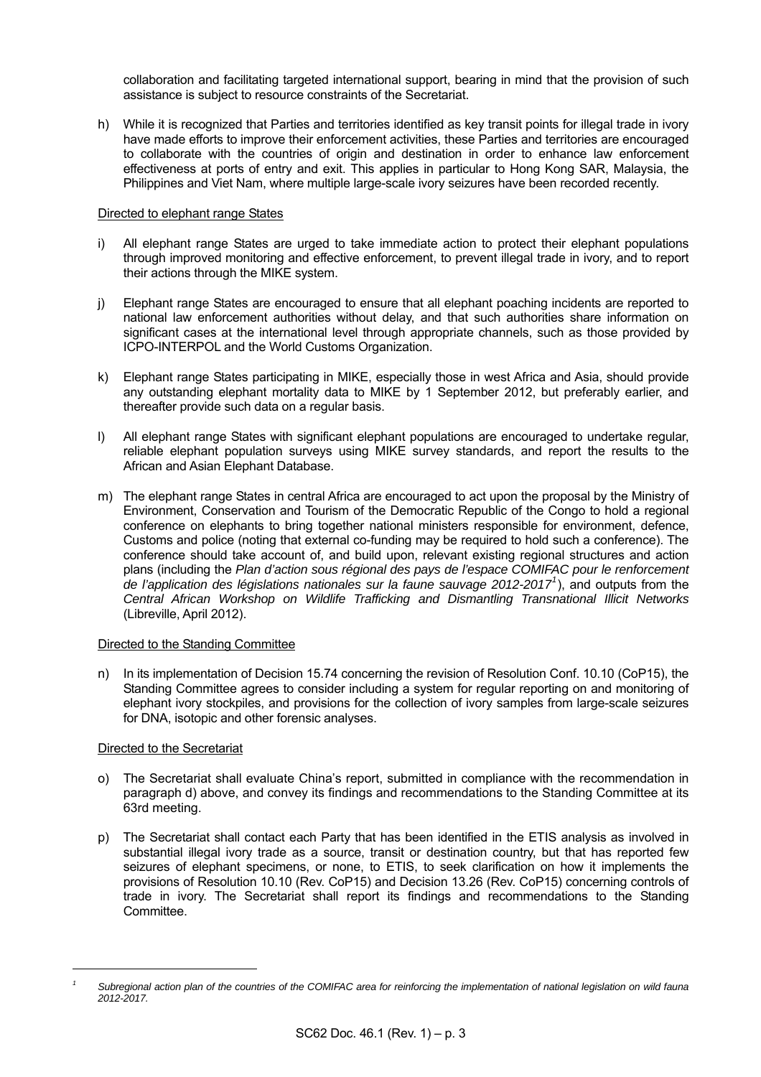collaboration and facilitating targeted international support, bearing in mind that the provision of such assistance is subject to resource constraints of the Secretariat.

h) While it is recognized that Parties and territories identified as key transit points for illegal trade in ivory have made efforts to improve their enforcement activities, these Parties and territories are encouraged to collaborate with the countries of origin and destination in order to enhance law enforcement effectiveness at ports of entry and exit. This applies in particular to Hong Kong SAR, Malaysia, the Philippines and Viet Nam, where multiple large-scale ivory seizures have been recorded recently.

## Directed to elephant range States

- i) All elephant range States are urged to take immediate action to protect their elephant populations through improved monitoring and effective enforcement, to prevent illegal trade in ivory, and to report their actions through the MIKE system.
- j) Elephant range States are encouraged to ensure that all elephant poaching incidents are reported to national law enforcement authorities without delay, and that such authorities share information on significant cases at the international level through appropriate channels, such as those provided by ICPO-INTERPOL and the World Customs Organization.
- k) Elephant range States participating in MIKE, especially those in west Africa and Asia, should provide any outstanding elephant mortality data to MIKE by 1 September 2012, but preferably earlier, and thereafter provide such data on a regular basis.
- l) All elephant range States with significant elephant populations are encouraged to undertake regular, reliable elephant population surveys using MIKE survey standards, and report the results to the African and Asian Elephant Database.
- m) The elephant range States in central Africa are encouraged to act upon the proposal by the Ministry of Environment, Conservation and Tourism of the Democratic Republic of the Congo to hold a regional conference on elephants to bring together national ministers responsible for environment, defence, Customs and police (noting that external co-funding may be required to hold such a conference). The conference should take account of, and build upon, relevant existing regional structures and action plans (including the *Plan d'action sous régional des pays de l'espace COMIFAC pour le renforcement de l'application des législations nationales sur la faune sauvage 2012-2017[1](#page-2-0)* ), and outputs from the *Central African Workshop on Wildlife Trafficking and Dismantling Transnational Illicit Networks* (Libreville, April 2012).

## Directed to the Standing Committee

 n) In its implementation of Decision 15.74 concerning the revision of Resolution Conf. 10.10 (CoP15), the Standing Committee agrees to consider including a system for regular reporting on and monitoring of elephant ivory stockpiles, and provisions for the collection of ivory samples from large-scale seizures for DNA, isotopic and other forensic analyses.

## Directed to the Secretariat

<span id="page-2-0"></span>l *1*

- o) The Secretariat shall evaluate China's report, submitted in compliance with the recommendation in paragraph d) above, and convey its findings and recommendations to the Standing Committee at its 63rd meeting.
- p) The Secretariat shall contact each Party that has been identified in the ETIS analysis as involved in substantial illegal ivory trade as a source, transit or destination country, but that has reported few seizures of elephant specimens, or none, to ETIS, to seek clarification on how it implements the provisions of Resolution 10.10 (Rev. CoP15) and Decision 13.26 (Rev. CoP15) concerning controls of trade in ivory. The Secretariat shall report its findings and recommendations to the Standing Committee.

*Subregional action plan of the countries of the COMIFAC area for reinforcing the implementation of national legislation on wild fauna 2012-2017.*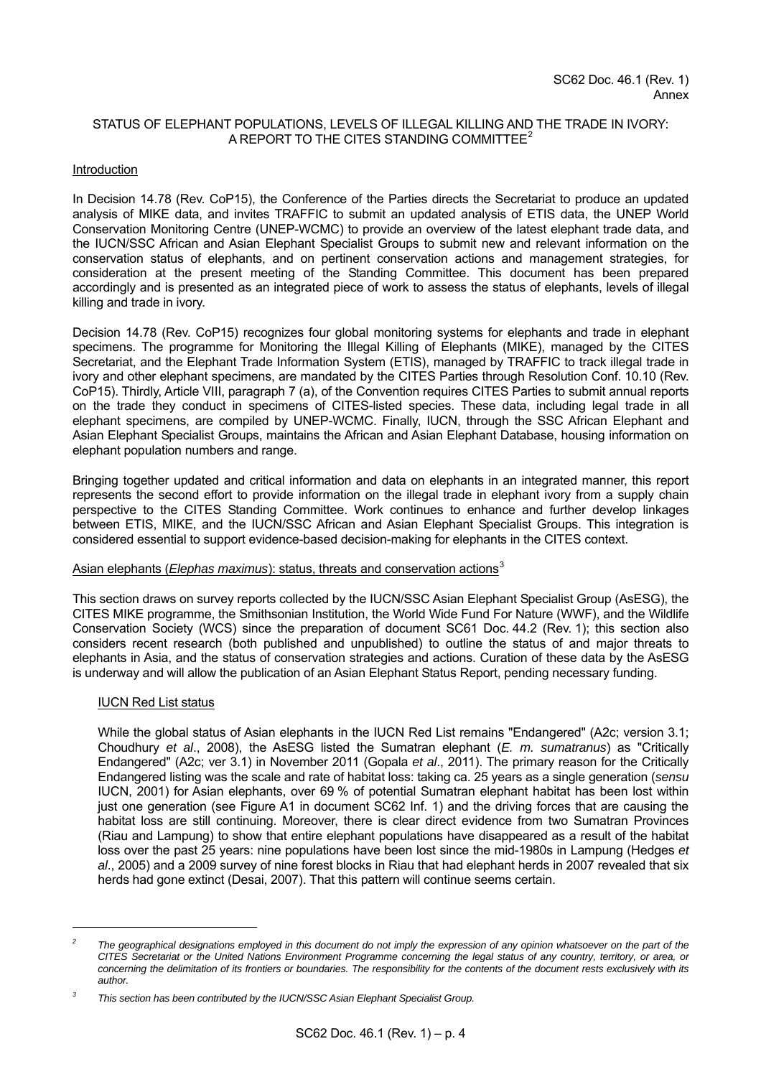## STATUS OF ELEPHANT POPULATIONS, LEVELS OF ILLEGAL KILLING AND THE TRADE IN IVORY: A REPORT TO THE CITES STANDING COMMITTEE<sup>[2](#page-3-0)</sup>

## **Introduction**

In Decision 14.78 (Rev. CoP15), the Conference of the Parties directs the Secretariat to produce an updated analysis of MIKE data, and invites TRAFFIC to submit an updated analysis of ETIS data, the UNEP World Conservation Monitoring Centre (UNEP-WCMC) to provide an overview of the latest elephant trade data, and the IUCN/SSC African and Asian Elephant Specialist Groups to submit new and relevant information on the conservation status of elephants, and on pertinent conservation actions and management strategies, for consideration at the present meeting of the Standing Committee. This document has been prepared accordingly and is presented as an integrated piece of work to assess the status of elephants, levels of illegal killing and trade in ivory.

Decision 14.78 (Rev. CoP15) recognizes four global monitoring systems for elephants and trade in elephant specimens. The programme for Monitoring the Illegal Killing of Elephants (MIKE), managed by the CITES Secretariat, and the Elephant Trade Information System (ETIS), managed by TRAFFIC to track illegal trade in ivory and other elephant specimens, are mandated by the CITES Parties through Resolution Conf. 10.10 (Rev. CoP15). Thirdly, Article VIII, paragraph 7 (a), of the Convention requires CITES Parties to submit annual reports on the trade they conduct in specimens of CITES-listed species. These data, including legal trade in all elephant specimens, are compiled by UNEP-WCMC. Finally, IUCN, through the SSC African Elephant and Asian Elephant Specialist Groups, maintains the African and Asian Elephant Database, housing information on elephant population numbers and range.

Bringing together updated and critical information and data on elephants in an integrated manner, this report represents the second effort to provide information on the illegal trade in elephant ivory from a supply chain perspective to the CITES Standing Committee. Work continues to enhance and further develop linkages between ETIS, MIKE, and the IUCN/SSC African and Asian Elephant Specialist Groups. This integration is considered essential to support evidence-based decision-making for elephants in the CITES context.

## Asian elephants (*Elephas maximus*): status, threats and conservation actions<sup>[3](#page-3-1)</sup>

This section draws on survey reports collected by the IUCN/SSC Asian Elephant Specialist Group (AsESG), the CITES MIKE programme, the Smithsonian Institution, the World Wide Fund For Nature (WWF), and the Wildlife Conservation Society (WCS) since the preparation of document SC61 Doc. 44.2 (Rev. 1); this section also considers recent research (both published and unpublished) to outline the status of and major threats to elephants in Asia, and the status of conservation strategies and actions. Curation of these data by the AsESG is underway and will allow the publication of an Asian Elephant Status Report, pending necessary funding.

## IUCN Red List status

l

 While the global status of Asian elephants in the IUCN Red List remains "Endangered" (A2c; version 3.1; Choudhury *et al*., 2008), the AsESG listed the Sumatran elephant (*E. m. sumatranus*) as "Critically Endangered" (A2c; ver 3.1) in November 2011 (Gopala *et al*., 2011). The primary reason for the Critically Endangered listing was the scale and rate of habitat loss: taking ca. 25 years as a single generation (*sensu* IUCN, 2001) for Asian elephants, over 69 % of potential Sumatran elephant habitat has been lost within just one generation (see Figure A1 in document SC62 Inf. 1) and the driving forces that are causing the habitat loss are still continuing. Moreover, there is clear direct evidence from two Sumatran Provinces (Riau and Lampung) to show that entire elephant populations have disappeared as a result of the habitat loss over the past 25 years: nine populations have been lost since the mid-1980s in Lampung (Hedges *et al*., 2005) and a 2009 survey of nine forest blocks in Riau that had elephant herds in 2007 revealed that six herds had gone extinct (Desai, 2007). That this pattern will continue seems certain.

<span id="page-3-0"></span>*<sup>2</sup>* The geographical designations employed in this document do not imply the expression of any opinion whatsoever on the part of the *CITES Secretariat or the United Nations Environment Programme concerning the legal status of any country, territory, or area, or concerning the delimitation of its frontiers or boundaries. The responsibility for the contents of the document rests exclusively with its author.* 

<span id="page-3-1"></span>*<sup>3</sup> This section has been contributed by the IUCN/SSC Asian Elephant Specialist Group.*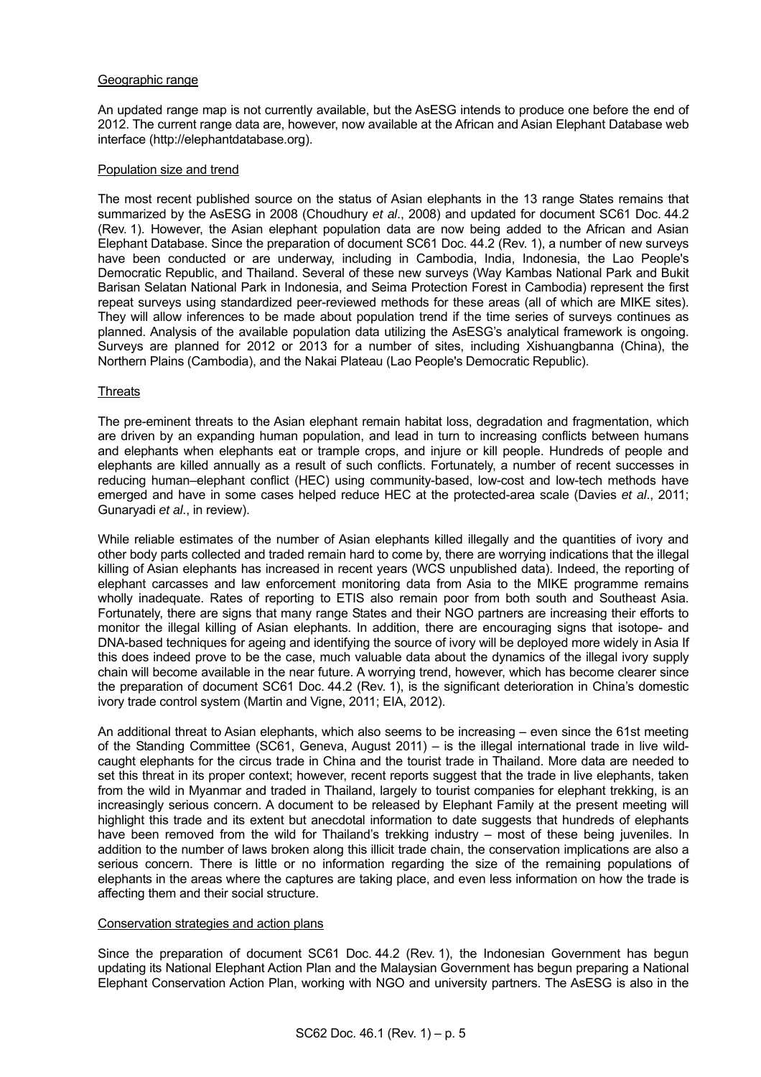## Geographic range

 An updated range map is not currently available, but the AsESG intends to produce one before the end of 2012. The current range data are, however, now available at the African and Asian Elephant Database web interface (http://elephantdatabase.org).

## Population size and trend

 The most recent published source on the status of Asian elephants in the 13 range States remains that summarized by the AsESG in 2008 (Choudhury *et al*., 2008) and updated for document SC61 Doc. 44.2 (Rev. 1). However, the Asian elephant population data are now being added to the African and Asian Elephant Database. Since the preparation of document SC61 Doc. 44.2 (Rev. 1), a number of new surveys have been conducted or are underway, including in Cambodia, India, Indonesia, the Lao People's Democratic Republic, and Thailand. Several of these new surveys (Way Kambas National Park and Bukit Barisan Selatan National Park in Indonesia, and Seima Protection Forest in Cambodia) represent the first repeat surveys using standardized peer-reviewed methods for these areas (all of which are MIKE sites). They will allow inferences to be made about population trend if the time series of surveys continues as planned. Analysis of the available population data utilizing the AsESG's analytical framework is ongoing. Surveys are planned for 2012 or 2013 for a number of sites, including Xishuangbanna (China), the Northern Plains (Cambodia), and the Nakai Plateau (Lao People's Democratic Republic).

## **Threats**

 The pre-eminent threats to the Asian elephant remain habitat loss, degradation and fragmentation, which are driven by an expanding human population, and lead in turn to increasing conflicts between humans and elephants when elephants eat or trample crops, and injure or kill people. Hundreds of people and elephants are killed annually as a result of such conflicts. Fortunately, a number of recent successes in reducing human–elephant conflict (HEC) using community-based, low-cost and low-tech methods have emerged and have in some cases helped reduce HEC at the protected-area scale (Davies *et al*., 2011; Gunaryadi *et al*., in review).

While reliable estimates of the number of Asian elephants killed illegally and the quantities of ivory and other body parts collected and traded remain hard to come by, there are worrying indications that the illegal killing of Asian elephants has increased in recent years (WCS unpublished data). Indeed, the reporting of elephant carcasses and law enforcement monitoring data from Asia to the MIKE programme remains wholly inadequate. Rates of reporting to ETIS also remain poor from both south and Southeast Asia. Fortunately, there are signs that many range States and their NGO partners are increasing their efforts to monitor the illegal killing of Asian elephants. In addition, there are encouraging signs that isotope- and DNA-based techniques for ageing and identifying the source of ivory will be deployed more widely in Asia If this does indeed prove to be the case, much valuable data about the dynamics of the illegal ivory supply chain will become available in the near future. A worrying trend, however, which has become clearer since the preparation of document SC61 Doc. 44.2 (Rev. 1), is the significant deterioration in China's domestic ivory trade control system (Martin and Vigne, 2011; EIA, 2012).

 An additional threat to Asian elephants, which also seems to be increasing – even since the 61st meeting of the Standing Committee (SC61, Geneva, August 2011) – is the illegal international trade in live wildcaught elephants for the circus trade in China and the tourist trade in Thailand. More data are needed to set this threat in its proper context; however, recent reports suggest that the trade in live elephants, taken from the wild in Myanmar and traded in Thailand, largely to tourist companies for elephant trekking, is an increasingly serious concern. A document to be released by Elephant Family at the present meeting will highlight this trade and its extent but anecdotal information to date suggests that hundreds of elephants have been removed from the wild for Thailand's trekking industry – most of these being juveniles. In addition to the number of laws broken along this illicit trade chain, the conservation implications are also a serious concern. There is little or no information regarding the size of the remaining populations of elephants in the areas where the captures are taking place, and even less information on how the trade is affecting them and their social structure.

## Conservation strategies and action plans

 Since the preparation of document SC61 Doc. 44.2 (Rev. 1), the Indonesian Government has begun updating its National Elephant Action Plan and the Malaysian Government has begun preparing a National Elephant Conservation Action Plan, working with NGO and university partners. The AsESG is also in the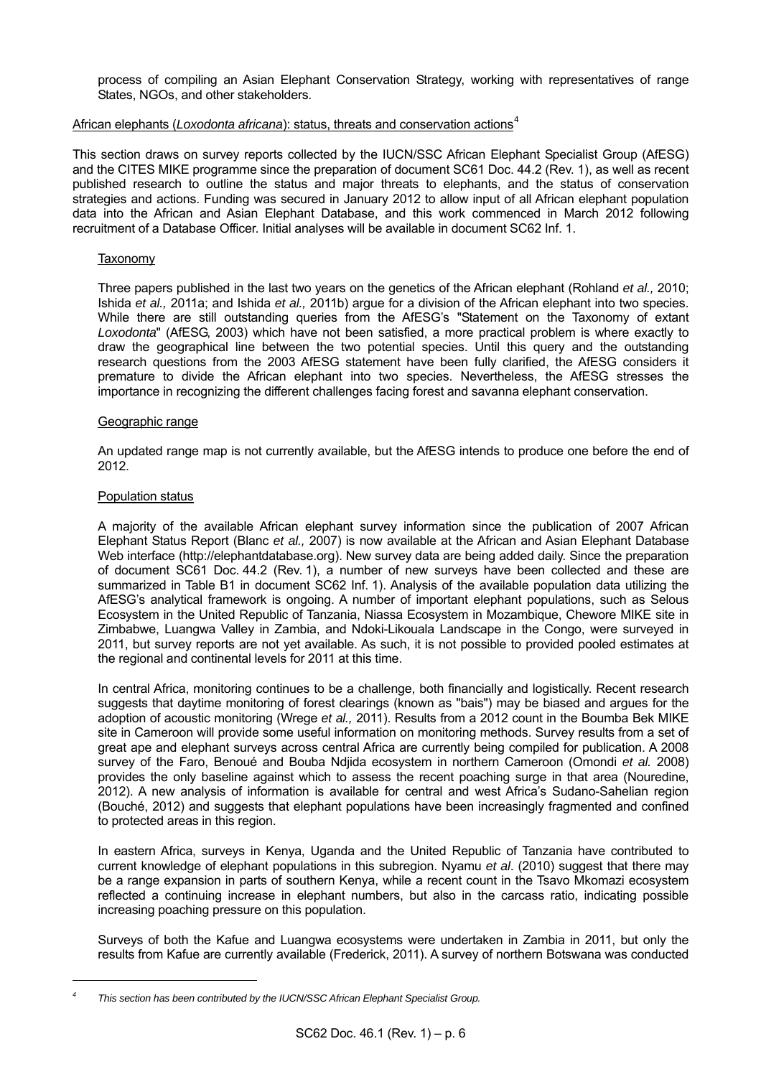process of compiling an Asian Elephant Conservation Strategy, working with representatives of range States, NGOs, and other stakeholders.

# African elephants (*Loxodonta africana*): status, threats and conservation actions<sup>[4](#page-5-0)</sup>

This section draws on survey reports collected by the IUCN/SSC African Elephant Specialist Group (AfESG) and the CITES MIKE programme since the preparation of document SC61 Doc. 44.2 (Rev. 1), as well as recent published research to outline the status and major threats to elephants, and the status of conservation strategies and actions. Funding was secured in January 2012 to allow input of all African elephant population data into the African and Asian Elephant Database, and this work commenced in March 2012 following recruitment of a Database Officer. Initial analyses will be available in document SC62 Inf. 1.

## Taxonomy

 Three papers published in the last two years on the genetics of the African elephant (Rohland *et al.,* 2010; Ishida *et al.,* 2011a; and Ishida *et al.,* 2011b) argue for a division of the African elephant into two species. While there are still outstanding queries from the AfESG's "Statement on the Taxonomy of extant *Loxodonta*" (AfESG, 2003) which have not been satisfied, a more practical problem is where exactly to draw the geographical line between the two potential species. Until this query and the outstanding research questions from the 2003 AfESG statement have been fully clarified, the AfESG considers it premature to divide the African elephant into two species. Nevertheless, the AfESG stresses the importance in recognizing the different challenges facing forest and savanna elephant conservation.

## Geographic range

 An updated range map is not currently available, but the AfESG intends to produce one before the end of 2012.

## Population status

l

 A majority of the available African elephant survey information since the publication of 2007 African Elephant Status Report (Blanc *et al.,* 2007) is now available at the African and Asian Elephant Database Web interface [\(http://elephantdatabase.org\)](http://elephantdatabase.org/). New survey data are being added daily. Since the preparation of document SC61 Doc. 44.2 (Rev. 1), a number of new surveys have been collected and these are summarized in Table B1 in document SC62 Inf. 1). Analysis of the available population data utilizing the AfESG's analytical framework is ongoing. A number of important elephant populations, such as Selous Ecosystem in the United Republic of Tanzania, Niassa Ecosystem in Mozambique, Chewore MIKE site in Zimbabwe, Luangwa Valley in Zambia, and Ndoki-Likouala Landscape in the Congo, were surveyed in 2011, but survey reports are not yet available. As such, it is not possible to provided pooled estimates at the regional and continental levels for 2011 at this time.

 In central Africa, monitoring continues to be a challenge, both financially and logistically. Recent research suggests that daytime monitoring of forest clearings (known as "bais") may be biased and argues for the adoption of acoustic monitoring (Wrege *et al.,* 2011). Results from a 2012 count in the Boumba Bek MIKE site in Cameroon will provide some useful information on monitoring methods. Survey results from a set of great ape and elephant surveys across central Africa are currently being compiled for publication. A 2008 survey of the Faro, Benoué and Bouba Ndjida ecosystem in northern Cameroon (Omondi *et al.* 2008) provides the only baseline against which to assess the recent poaching surge in that area (Nouredine, 2012). A new analysis of information is available for central and west Africa's Sudano-Sahelian region (Bouché, 2012) and suggests that elephant populations have been increasingly fragmented and confined to protected areas in this region.

 In eastern Africa, surveys in Kenya, Uganda and the United Republic of Tanzania have contributed to current knowledge of elephant populations in this subregion. Nyamu *et al*. (2010) suggest that there may be a range expansion in parts of southern Kenya, while a recent count in the Tsavo Mkomazi ecosystem reflected a continuing increase in elephant numbers, but also in the carcass ratio, indicating possible increasing poaching pressure on this population.

 Surveys of both the Kafue and Luangwa ecosystems were undertaken in Zambia in 2011, but only the results from Kafue are currently available (Frederick, 2011). A survey of northern Botswana was conducted

<span id="page-5-0"></span>*<sup>4</sup> This section has been contributed by the IUCN/SSC African Elephant Specialist Group.*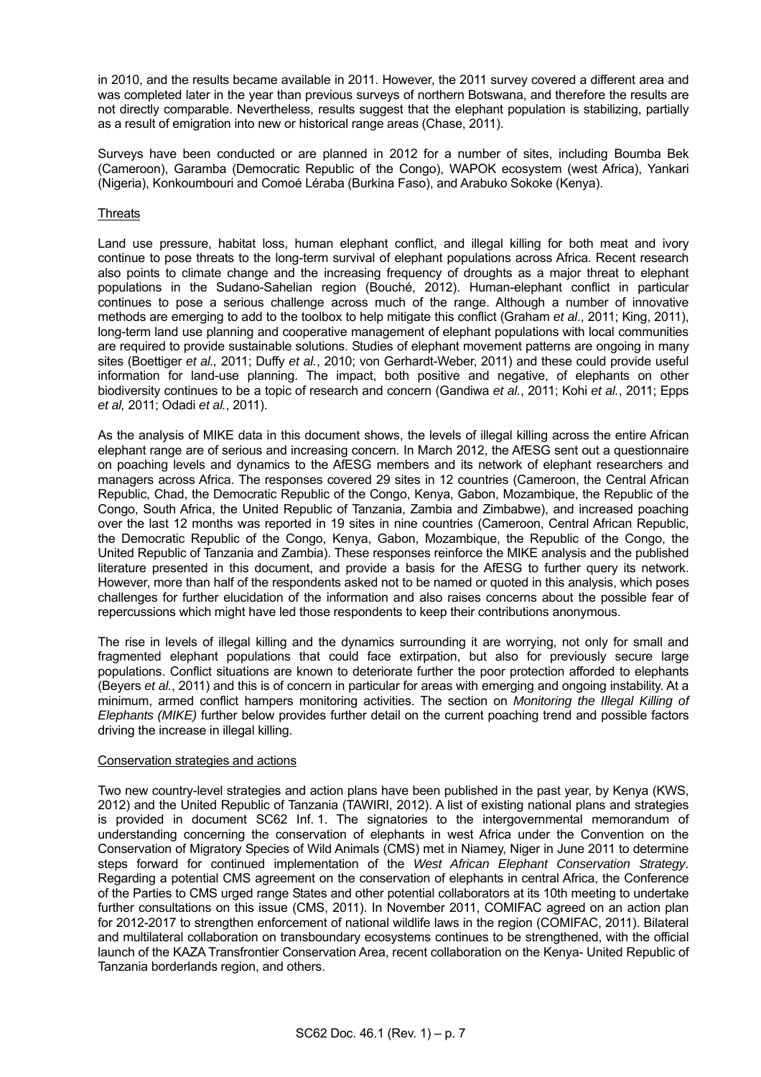in 2010, and the results became available in 2011. However, the 2011 survey covered a different area and was completed later in the year than previous surveys of northern Botswana, and therefore the results are not directly comparable. Nevertheless, results suggest that the elephant population is stabilizing, partially as a result of emigration into new or historical range areas (Chase, 2011).

 Surveys have been conducted or are planned in 2012 for a number of sites, including Boumba Bek (Cameroon), Garamba (Democratic Republic of the Congo), WAPOK ecosystem (west Africa), Yankari (Nigeria), Konkoumbouri and Comoé Léraba (Burkina Faso), and Arabuko Sokoke (Kenya).

## **Threats**

 Land use pressure, habitat loss, human elephant conflict, and illegal killing for both meat and ivory continue to pose threats to the long-term survival of elephant populations across Africa. Recent research also points to climate change and the increasing frequency of droughts as a major threat to elephant populations in the Sudano-Sahelian region (Bouché, 2012). Human-elephant conflict in particular continues to pose a serious challenge across much of the range. Although a number of innovative methods are emerging to add to the toolbox to help mitigate this conflict (Graham *et al*., 2011; King, 2011), long-term land use planning and cooperative management of elephant populations with local communities are required to provide sustainable solutions. Studies of elephant movement patterns are ongoing in many sites (Boettiger *et al.,* 2011; Duffy *et al.*, 2010; von Gerhardt-Weber, 2011) and these could provide useful information for land-use planning. The impact, both positive and negative, of elephants on other biodiversity continues to be a topic of research and concern (Gandiwa *et al.*, 2011; Kohi *et al.*, 2011; Epps *et al,* 2011; Odadi *et al.*, 2011).

 As the analysis of MIKE data in this document shows, the levels of illegal killing across the entire African elephant range are of serious and increasing concern. In March 2012, the AfESG sent out a questionnaire on poaching levels and dynamics to the AfESG members and its network of elephant researchers and managers across Africa. The responses covered 29 sites in 12 countries (Cameroon, the Central African Republic, Chad, the Democratic Republic of the Congo, Kenya, Gabon, Mozambique, the Republic of the Congo, South Africa, the United Republic of Tanzania, Zambia and Zimbabwe), and increased poaching over the last 12 months was reported in 19 sites in nine countries (Cameroon, Central African Republic, the Democratic Republic of the Congo, Kenya, Gabon, Mozambique, the Republic of the Congo, the United Republic of Tanzania and Zambia). These responses reinforce the MIKE analysis and the published literature presented in this document, and provide a basis for the AfESG to further query its network. However, more than half of the respondents asked not to be named or quoted in this analysis, which poses challenges for further elucidation of the information and also raises concerns about the possible fear of repercussions which might have led those respondents to keep their contributions anonymous.

 The rise in levels of illegal killing and the dynamics surrounding it are worrying, not only for small and fragmented elephant populations that could face extirpation, but also for previously secure large populations. Conflict situations are known to deteriorate further the poor protection afforded to elephants (Beyers *et al.*, 2011) and this is of concern in particular for areas with emerging and ongoing instability. At a minimum, armed conflict hampers monitoring activities. The section on *Monitoring the Illegal Killing of Elephants (MIKE)* further below provides further detail on the current poaching trend and possible factors driving the increase in illegal killing.

## Conservation strategies and actions

 Two new country-level strategies and action plans have been published in the past year, by Kenya (KWS, 2012) and the United Republic of Tanzania (TAWIRI, 2012). A list of existing national plans and strategies is provided in document SC62 Inf. 1. The signatories to the intergovernmental memorandum of understanding concerning the conservation of elephants in west Africa under the Convention on the Conservation of Migratory Species of Wild Animals (CMS) met in Niamey, Niger in June 2011 to determine steps forward for continued implementation of the *West African Elephant Conservation Strategy*. Regarding a potential CMS agreement on the conservation of elephants in central Africa, the Conference of the Parties to CMS urged range States and other potential collaborators at its 10th meeting to undertake further consultations on this issue (CMS, 2011). In November 2011, COMIFAC agreed on an action plan for 2012-2017 to strengthen enforcement of national wildlife laws in the region (COMIFAC, 2011). Bilateral and multilateral collaboration on transboundary ecosystems continues to be strengthened, with the official launch of the KAZA Transfrontier Conservation Area, recent collaboration on the Kenya- United Republic of Tanzania borderlands region, and others.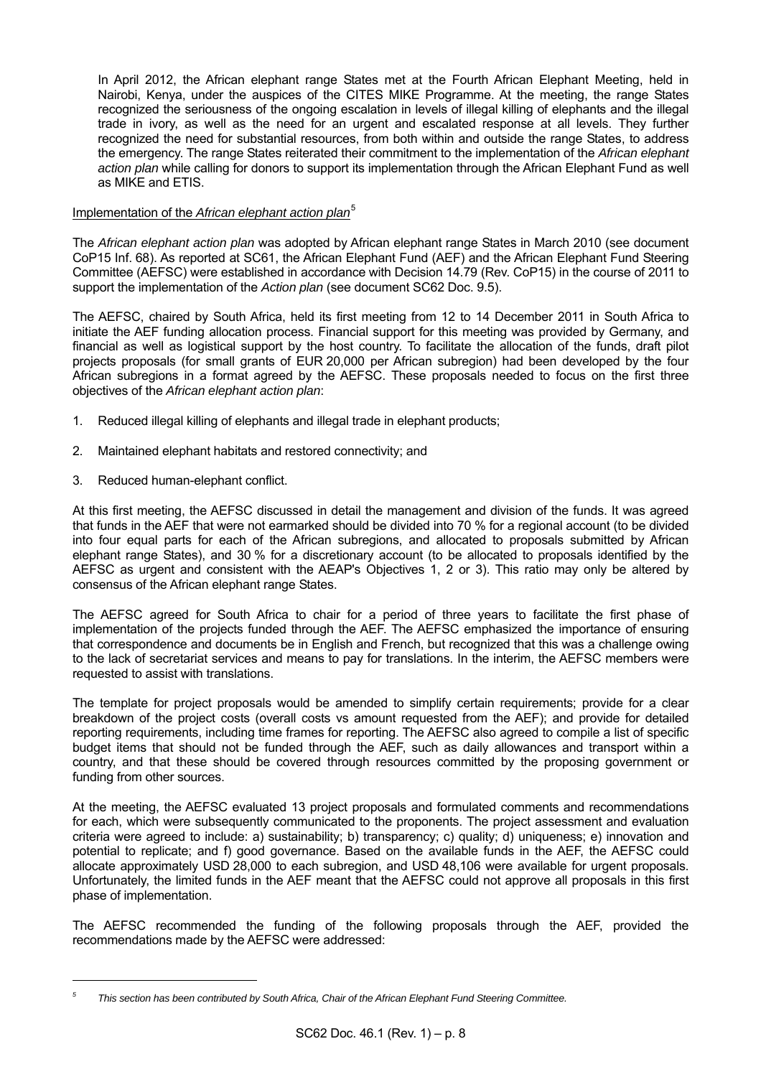In April 2012, the African elephant range States met at the Fourth African Elephant Meeting, held in Nairobi, Kenya, under the auspices of the CITES MIKE Programme. At the meeting, the range States recognized the seriousness of the ongoing escalation in levels of illegal killing of elephants and the illegal trade in ivory, as well as the need for an urgent and escalated response at all levels. They further recognized the need for substantial resources, from both within and outside the range States, to address the emergency. The range States reiterated their commitment to the implementation of the *African elephant action plan* while calling for donors to support its implementation through the African Elephant Fund as well as MIKE and ETIS.

## Implementation of the *African elephant action plan*[5](#page-7-0)

The *African elephant action plan* was adopted by African elephant range States in March 2010 (see document CoP15 Inf. 68). As reported at SC61, the African Elephant Fund (AEF) and the African Elephant Fund Steering Committee (AEFSC) were established in accordance with Decision 14.79 (Rev. CoP15) in the course of 2011 to support the implementation of the *Action plan* (see document SC62 Doc. 9.5).

The AEFSC, chaired by South Africa, held its first meeting from 12 to 14 December 2011 in South Africa to initiate the AEF funding allocation process. Financial support for this meeting was provided by Germany, and financial as well as logistical support by the host country. To facilitate the allocation of the funds, draft pilot projects proposals (for small grants of EUR 20,000 per African subregion) had been developed by the four African subregions in a format agreed by the AEFSC. These proposals needed to focus on the first three objectives of the *African elephant action plan*:

- 1. Reduced illegal killing of elephants and illegal trade in elephant products;
- 2. Maintained elephant habitats and restored connectivity; and
- 3. Reduced human-elephant conflict.

l

At this first meeting, the AEFSC discussed in detail the management and division of the funds. It was agreed that funds in the AEF that were not earmarked should be divided into 70 % for a regional account (to be divided into four equal parts for each of the African subregions, and allocated to proposals submitted by African elephant range States), and 30 % for a discretionary account (to be allocated to proposals identified by the AEFSC as urgent and consistent with the AEAP's Objectives 1, 2 or 3). This ratio may only be altered by consensus of the African elephant range States.

The AEFSC agreed for South Africa to chair for a period of three years to facilitate the first phase of implementation of the projects funded through the AEF. The AEFSC emphasized the importance of ensuring that correspondence and documents be in English and French, but recognized that this was a challenge owing to the lack of secretariat services and means to pay for translations. In the interim, the AEFSC members were requested to assist with translations.

The template for project proposals would be amended to simplify certain requirements; provide for a clear breakdown of the project costs (overall costs vs amount requested from the AEF); and provide for detailed reporting requirements, including time frames for reporting. The AEFSC also agreed to compile a list of specific budget items that should not be funded through the AEF, such as daily allowances and transport within a country, and that these should be covered through resources committed by the proposing government or funding from other sources.

At the meeting, the AEFSC evaluated 13 project proposals and formulated comments and recommendations for each, which were subsequently communicated to the proponents. The project assessment and evaluation criteria were agreed to include: a) sustainability; b) transparency; c) quality; d) uniqueness; e) innovation and potential to replicate; and f) good governance. Based on the available funds in the AEF, the AEFSC could allocate approximately USD 28,000 to each subregion, and USD 48,106 were available for urgent proposals. Unfortunately, the limited funds in the AEF meant that the AEFSC could not approve all proposals in this first phase of implementation.

The AEFSC recommended the funding of the following proposals through the AEF, provided the recommendations made by the AEFSC were addressed:

<span id="page-7-0"></span>*<sup>5</sup> This section has been contributed by South Africa, Chair of the African Elephant Fund Steering Committee.*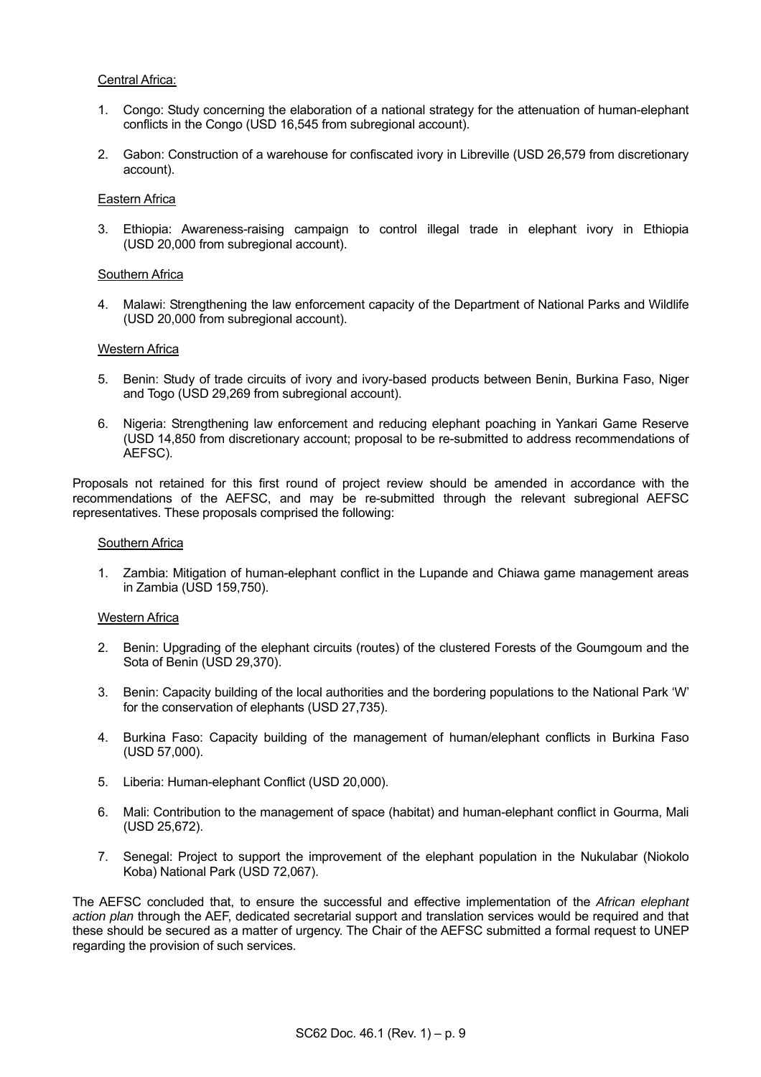## Central Africa:

- 1. Congo: Study concerning the elaboration of a national strategy for the attenuation of human-elephant conflicts in the Congo (USD 16,545 from subregional account).
- 2. Gabon: Construction of a warehouse for confiscated ivory in Libreville (USD 26,579 from discretionary account).

### Eastern Africa

 3. Ethiopia: Awareness-raising campaign to control illegal trade in elephant ivory in Ethiopia (USD 20,000 from subregional account).

## Southern Africa

 4. Malawi: Strengthening the law enforcement capacity of the Department of National Parks and Wildlife (USD 20,000 from subregional account).

#### Western Africa

- 5. Benin: Study of trade circuits of ivory and ivory-based products between Benin, Burkina Faso, Niger and Togo (USD 29,269 from subregional account).
- 6. Nigeria: Strengthening law enforcement and reducing elephant poaching in Yankari Game Reserve (USD 14,850 from discretionary account; proposal to be re-submitted to address recommendations of AEFSC).

Proposals not retained for this first round of project review should be amended in accordance with the recommendations of the AEFSC, and may be re-submitted through the relevant subregional AEFSC representatives. These proposals comprised the following:

#### Southern Africa

 1. Zambia: Mitigation of human-elephant conflict in the Lupande and Chiawa game management areas in Zambia (USD 159,750).

#### Western Africa

- 2. Benin: Upgrading of the elephant circuits (routes) of the clustered Forests of the Goumgoum and the Sota of Benin (USD 29,370).
- 3. Benin: Capacity building of the local authorities and the bordering populations to the National Park 'W' for the conservation of elephants (USD 27,735).
- 4. Burkina Faso: Capacity building of the management of human/elephant conflicts in Burkina Faso (USD 57,000).
- 5. Liberia: Human-elephant Conflict (USD 20,000).
- 6. Mali: Contribution to the management of space (habitat) and human-elephant conflict in Gourma, Mali (USD 25,672).
- 7. Senegal: Project to support the improvement of the elephant population in the Nukulabar (Niokolo Koba) National Park (USD 72,067).

The AEFSC concluded that, to ensure the successful and effective implementation of the *African elephant action plan* through the AEF, dedicated secretarial support and translation services would be required and that these should be secured as a matter of urgency. The Chair of the AEFSC submitted a formal request to UNEP regarding the provision of such services.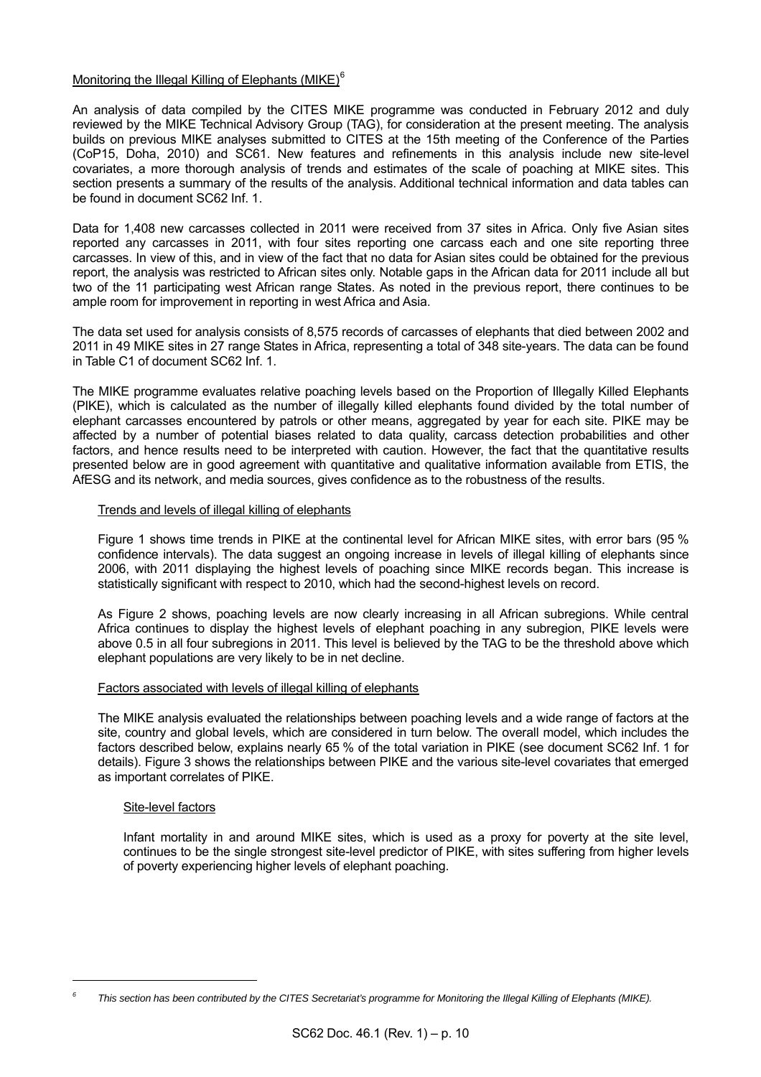## Monitoring the Illegal Killing of Elephants (MIKE)<sup>[6](#page-9-0)</sup>

An analysis of data compiled by the CITES MIKE programme was conducted in February 2012 and duly reviewed by the MIKE Technical Advisory Group (TAG), for consideration at the present meeting. The analysis builds on previous MIKE analyses submitted to CITES at the 15th meeting of the Conference of the Parties (CoP15, Doha, 2010) and SC61. New features and refinements in this analysis include new site-level covariates, a more thorough analysis of trends and estimates of the scale of poaching at MIKE sites. This section presents a summary of the results of the analysis. Additional technical information and data tables can be found in document SC62 Inf. 1.

Data for 1,408 new carcasses collected in 2011 were received from 37 sites in Africa. Only five Asian sites reported any carcasses in 2011, with four sites reporting one carcass each and one site reporting three carcasses. In view of this, and in view of the fact that no data for Asian sites could be obtained for the previous report, the analysis was restricted to African sites only. Notable gaps in the African data for 2011 include all but two of the 11 participating west African range States. As noted in the previous report, there continues to be ample room for improvement in reporting in west Africa and Asia.

The data set used for analysis consists of 8,575 records of carcasses of elephants that died between 2002 and 2011 in 49 MIKE sites in 27 range States in Africa, representing a total of 348 site-years. The data can be found in Table C1 of document SC62 Inf. 1.

The MIKE programme evaluates relative poaching levels based on the Proportion of Illegally Killed Elephants (PIKE), which is calculated as the number of illegally killed elephants found divided by the total number of elephant carcasses encountered by patrols or other means, aggregated by year for each site. PIKE may be affected by a number of potential biases related to data quality, carcass detection probabilities and other factors, and hence results need to be interpreted with caution. However, the fact that the quantitative results presented below are in good agreement with quantitative and qualitative information available from ETIS, the AfESG and its network, and media sources, gives confidence as to the robustness of the results.

## Trends and levels of illegal killing of elephants

 Figure 1 shows time trends in PIKE at the continental level for African MIKE sites, with error bars (95 % confidence intervals). The data suggest an ongoing increase in levels of illegal killing of elephants since 2006, with 2011 displaying the highest levels of poaching since MIKE records began. This increase is statistically significant with respect to 2010, which had the second-highest levels on record.

 As Figure 2 shows, poaching levels are now clearly increasing in all African subregions. While central Africa continues to display the highest levels of elephant poaching in any subregion, PIKE levels were above 0.5 in all four subregions in 2011. This level is believed by the TAG to be the threshold above which elephant populations are very likely to be in net decline.

## Factors associated with levels of illegal killing of elephants

 The MIKE analysis evaluated the relationships between poaching levels and a wide range of factors at the site, country and global levels, which are considered in turn below. The overall model, which includes the factors described below, explains nearly 65 % of the total variation in PIKE (see document SC62 Inf. 1 for details). Figure 3 shows the relationships between PIKE and the various site-level covariates that emerged as important correlates of PIKE.

## Site-level factors

l

 Infant mortality in and around MIKE sites, which is used as a proxy for poverty at the site level, continues to be the single strongest site-level predictor of PIKE, with sites suffering from higher levels of poverty experiencing higher levels of elephant poaching.

<span id="page-9-0"></span>*<sup>6</sup> This section has been contributed by the CITES Secretariat's programme for Monitoring the Illegal Killing of Elephants (MIKE).*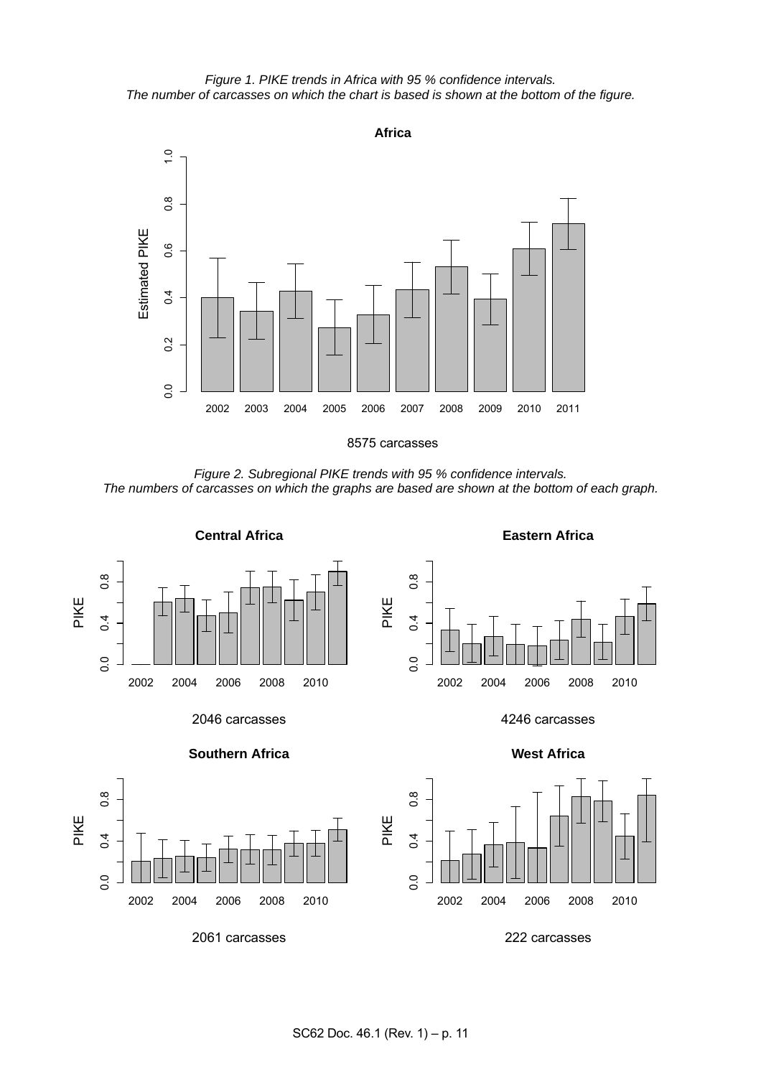*Figure 1. PIKE trends in Africa with 95 % confidence intervals. The number of carcasses on which the chart is based is shown at the bottom of the figure.* 



*Figure 2. Subregional PIKE trends with 95 % confidence intervals. The numbers of carcasses on which the graphs are based are shown at the bottom of each graph.* 

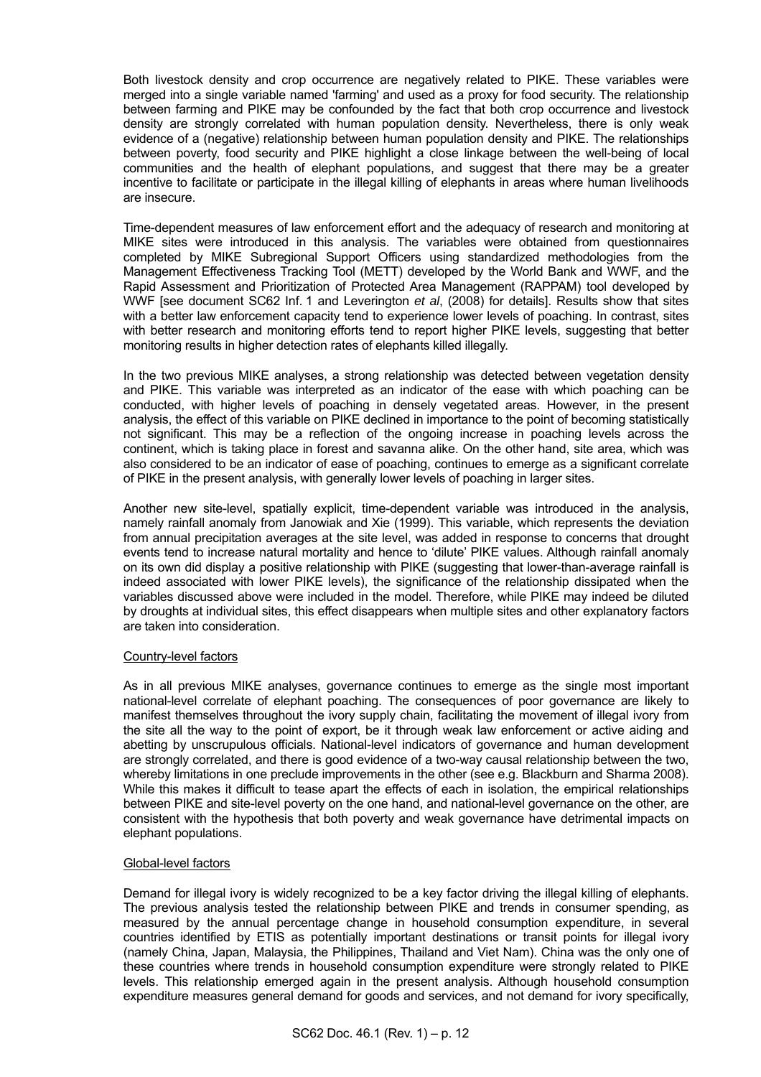Both livestock density and crop occurrence are negatively related to PIKE. These variables were merged into a single variable named 'farming' and used as a proxy for food security. The relationship between farming and PIKE may be confounded by the fact that both crop occurrence and livestock density are strongly correlated with human population density. Nevertheless, there is only weak evidence of a (negative) relationship between human population density and PIKE. The relationships between poverty, food security and PIKE highlight a close linkage between the well-being of local communities and the health of elephant populations, and suggest that there may be a greater incentive to facilitate or participate in the illegal killing of elephants in areas where human livelihoods are insecure.

 Time-dependent measures of law enforcement effort and the adequacy of research and monitoring at MIKE sites were introduced in this analysis. The variables were obtained from questionnaires completed by MIKE Subregional Support Officers using standardized methodologies from the Management Effectiveness Tracking Tool (METT) developed by the World Bank and WWF, and the Rapid Assessment and Prioritization of Protected Area Management (RAPPAM) tool developed by WWF [see document SC62 Inf. 1 and Leverington *et al*, (2008) for details]. Results show that sites with a better law enforcement capacity tend to experience lower levels of poaching. In contrast, sites with better research and monitoring efforts tend to report higher PIKE levels, suggesting that better monitoring results in higher detection rates of elephants killed illegally.

 In the two previous MIKE analyses, a strong relationship was detected between vegetation density and PIKE. This variable was interpreted as an indicator of the ease with which poaching can be conducted, with higher levels of poaching in densely vegetated areas. However, in the present analysis, the effect of this variable on PIKE declined in importance to the point of becoming statistically not significant. This may be a reflection of the ongoing increase in poaching levels across the continent, which is taking place in forest and savanna alike. On the other hand, site area, which was also considered to be an indicator of ease of poaching, continues to emerge as a significant correlate of PIKE in the present analysis, with generally lower levels of poaching in larger sites.

 Another new site-level, spatially explicit, time-dependent variable was introduced in the analysis, namely rainfall anomaly from Janowiak and Xie (1999). This variable, which represents the deviation from annual precipitation averages at the site level, was added in response to concerns that drought events tend to increase natural mortality and hence to 'dilute' PIKE values. Although rainfall anomaly on its own did display a positive relationship with PIKE (suggesting that lower-than-average rainfall is indeed associated with lower PIKE levels), the significance of the relationship dissipated when the variables discussed above were included in the model. Therefore, while PIKE may indeed be diluted by droughts at individual sites, this effect disappears when multiple sites and other explanatory factors are taken into consideration.

## Country-level factors

 As in all previous MIKE analyses, governance continues to emerge as the single most important national-level correlate of elephant poaching. The consequences of poor governance are likely to manifest themselves throughout the ivory supply chain, facilitating the movement of illegal ivory from the site all the way to the point of export, be it through weak law enforcement or active aiding and abetting by unscrupulous officials. National-level indicators of governance and human development are strongly correlated, and there is good evidence of a two-way causal relationship between the two, whereby limitations in one preclude improvements in the other (see e.g. Blackburn and Sharma 2008). While this makes it difficult to tease apart the effects of each in isolation, the empirical relationships between PIKE and site-level poverty on the one hand, and national-level governance on the other, are consistent with the hypothesis that both poverty and weak governance have detrimental impacts on elephant populations.

## Global-level factors

 Demand for illegal ivory is widely recognized to be a key factor driving the illegal killing of elephants. The previous analysis tested the relationship between PIKE and trends in consumer spending, as measured by the annual percentage change in household consumption expenditure, in several countries identified by ETIS as potentially important destinations or transit points for illegal ivory (namely China, Japan, Malaysia, the Philippines, Thailand and Viet Nam). China was the only one of these countries where trends in household consumption expenditure were strongly related to PIKE levels. This relationship emerged again in the present analysis. Although household consumption expenditure measures general demand for goods and services, and not demand for ivory specifically,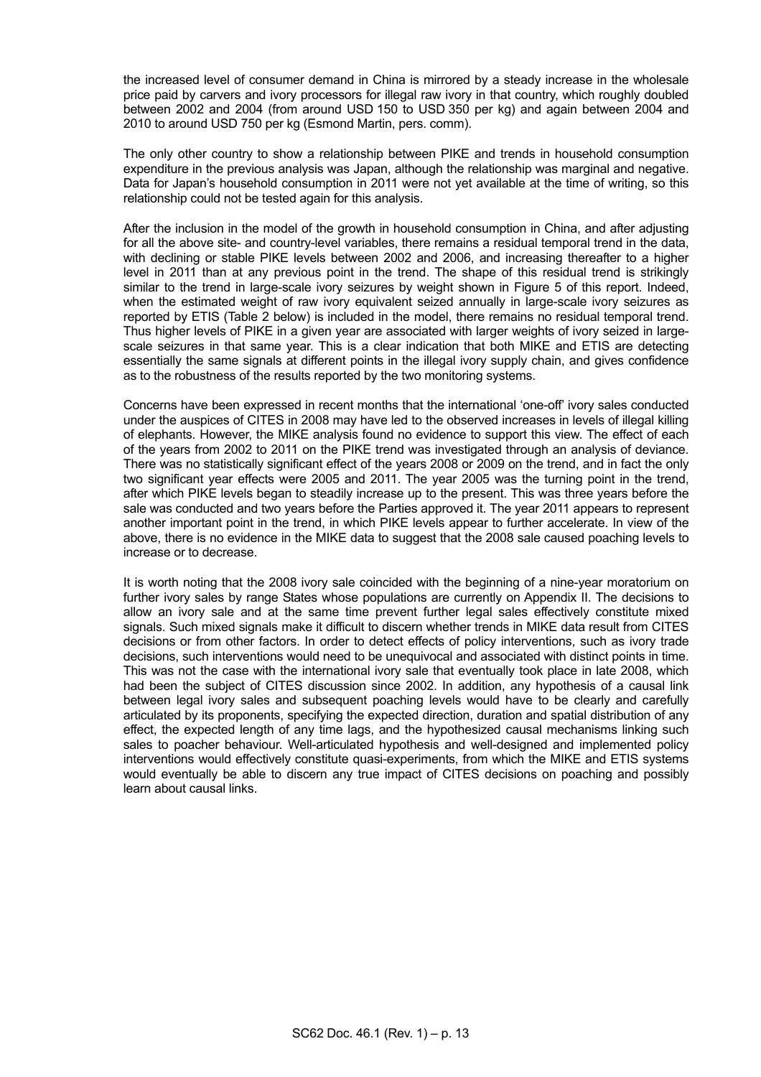the increased level of consumer demand in China is mirrored by a steady increase in the wholesale price paid by carvers and ivory processors for illegal raw ivory in that country, which roughly doubled between 2002 and 2004 (from around USD 150 to USD 350 per kg) and again between 2004 and 2010 to around USD 750 per kg (Esmond Martin, pers. comm).

 The only other country to show a relationship between PIKE and trends in household consumption expenditure in the previous analysis was Japan, although the relationship was marginal and negative. Data for Japan's household consumption in 2011 were not yet available at the time of writing, so this relationship could not be tested again for this analysis.

 After the inclusion in the model of the growth in household consumption in China, and after adjusting for all the above site- and country-level variables, there remains a residual temporal trend in the data, with declining or stable PIKE levels between 2002 and 2006, and increasing thereafter to a higher level in 2011 than at any previous point in the trend. The shape of this residual trend is strikingly similar to the trend in large-scale ivory seizures by weight shown in Figure 5 of this report. Indeed, when the estimated weight of raw ivory equivalent seized annually in large-scale ivory seizures as reported by ETIS (Table 2 below) is included in the model, there remains no residual temporal trend. Thus higher levels of PIKE in a given year are associated with larger weights of ivory seized in largescale seizures in that same year. This is a clear indication that both MIKE and ETIS are detecting essentially the same signals at different points in the illegal ivory supply chain, and gives confidence as to the robustness of the results reported by the two monitoring systems.

 Concerns have been expressed in recent months that the international 'one-off' ivory sales conducted under the auspices of CITES in 2008 may have led to the observed increases in levels of illegal killing of elephants. However, the MIKE analysis found no evidence to support this view. The effect of each of the years from 2002 to 2011 on the PIKE trend was investigated through an analysis of deviance. There was no statistically significant effect of the years 2008 or 2009 on the trend, and in fact the only two significant year effects were 2005 and 2011. The year 2005 was the turning point in the trend, after which PIKE levels began to steadily increase up to the present. This was three years before the sale was conducted and two years before the Parties approved it. The year 2011 appears to represent another important point in the trend, in which PIKE levels appear to further accelerate. In view of the above, there is no evidence in the MIKE data to suggest that the 2008 sale caused poaching levels to increase or to decrease.

 It is worth noting that the 2008 ivory sale coincided with the beginning of a nine-year moratorium on further ivory sales by range States whose populations are currently on Appendix II. The decisions to allow an ivory sale and at the same time prevent further legal sales effectively constitute mixed signals. Such mixed signals make it difficult to discern whether trends in MIKE data result from CITES decisions or from other factors. In order to detect effects of policy interventions, such as ivory trade decisions, such interventions would need to be unequivocal and associated with distinct points in time. This was not the case with the international ivory sale that eventually took place in late 2008, which had been the subject of CITES discussion since 2002. In addition, any hypothesis of a causal link between legal ivory sales and subsequent poaching levels would have to be clearly and carefully articulated by its proponents, specifying the expected direction, duration and spatial distribution of any effect, the expected length of any time lags, and the hypothesized causal mechanisms linking such sales to poacher behaviour. Well-articulated hypothesis and well-designed and implemented policy interventions would effectively constitute quasi-experiments, from which the MIKE and ETIS systems would eventually be able to discern any true impact of CITES decisions on poaching and possibly learn about causal links.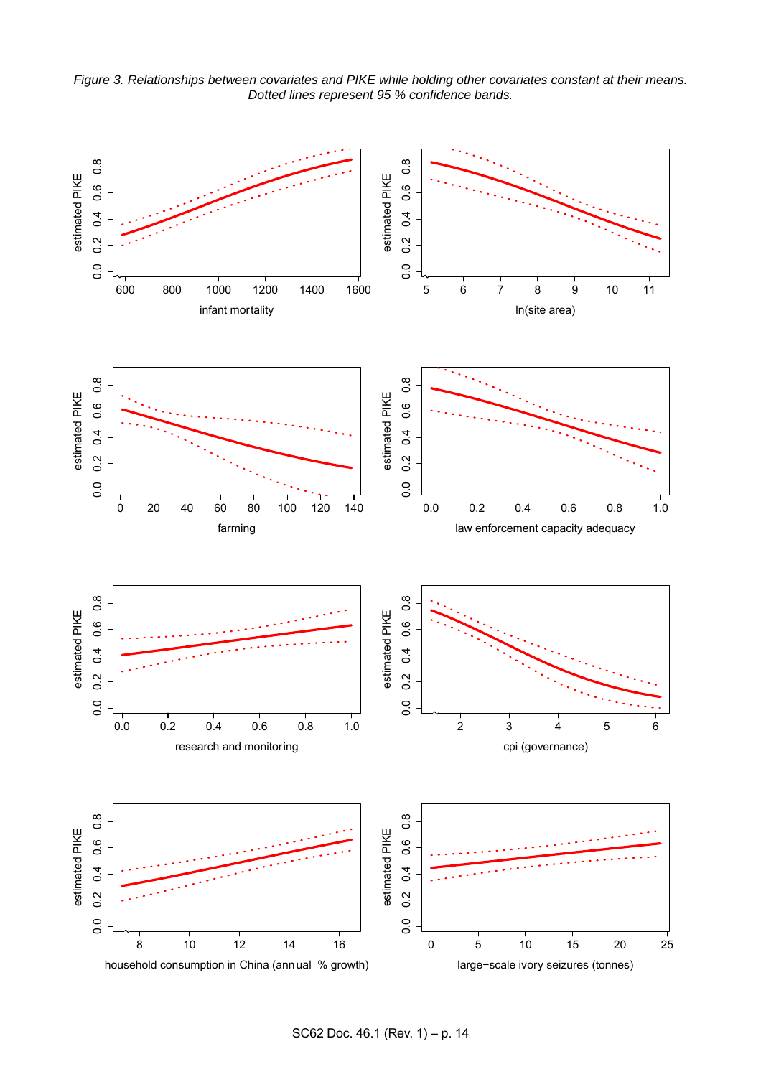*Figure 3. Relationships between covariates and PIKE while holding other covariates constant at their means. Dotted lines represent 95 % confidence bands.* 



SC62 Doc. 46.1 (Rev. 1) – p. 14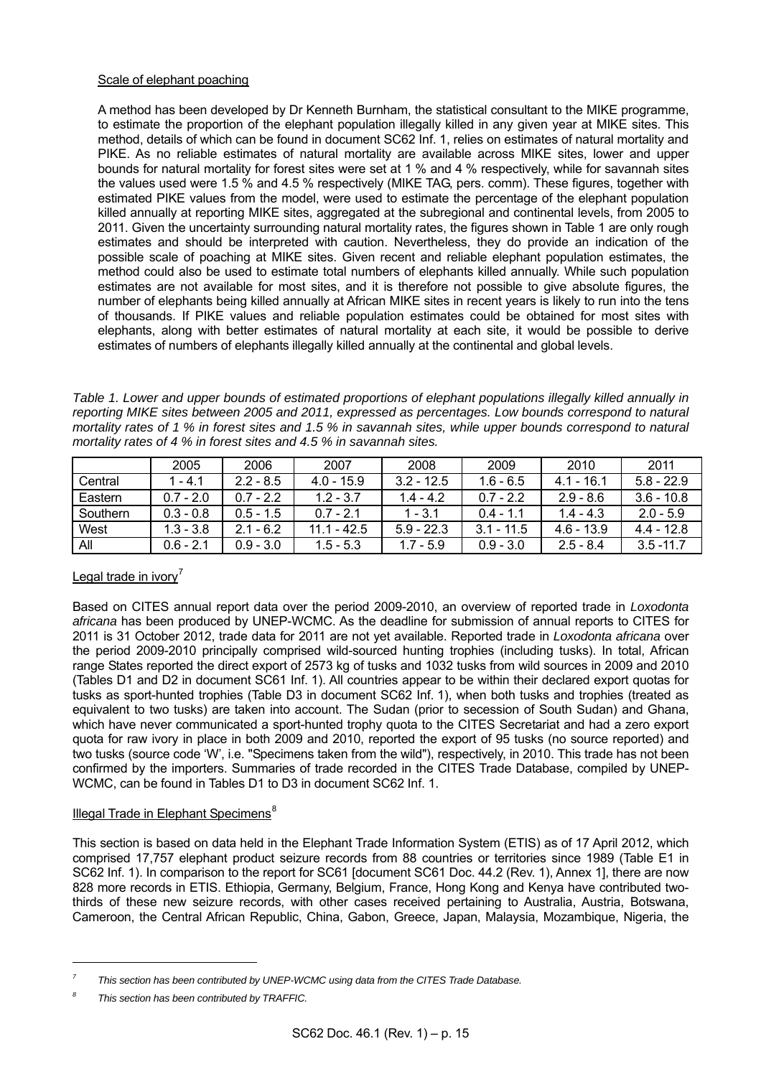## Scale of elephant poaching

 A method has been developed by Dr Kenneth Burnham, the statistical consultant to the MIKE programme, to estimate the proportion of the elephant population illegally killed in any given year at MIKE sites. This method, details of which can be found in document SC62 Inf. 1, relies on estimates of natural mortality and PIKE. As no reliable estimates of natural mortality are available across MIKE sites, lower and upper bounds for natural mortality for forest sites were set at 1 % and 4 % respectively, while for savannah sites the values used were 1.5 % and 4.5 % respectively (MIKE TAG, pers. comm). These figures, together with estimated PIKE values from the model, were used to estimate the percentage of the elephant population killed annually at reporting MIKE sites, aggregated at the subregional and continental levels, from 2005 to 2011. Given the uncertainty surrounding natural mortality rates, the figures shown in Table 1 are only rough estimates and should be interpreted with caution. Nevertheless, they do provide an indication of the possible scale of poaching at MIKE sites. Given recent and reliable elephant population estimates, the method could also be used to estimate total numbers of elephants killed annually. While such population estimates are not available for most sites, and it is therefore not possible to give absolute figures, the number of elephants being killed annually at African MIKE sites in recent years is likely to run into the tens of thousands. If PIKE values and reliable population estimates could be obtained for most sites with elephants, along with better estimates of natural mortality at each site, it would be possible to derive estimates of numbers of elephants illegally killed annually at the continental and global levels.

*Table 1. Lower and upper bounds of estimated proportions of elephant populations illegally killed annually in reporting MIKE sites between 2005 and 2011, expressed as percentages. Low bounds correspond to natural mortality rates of 1 % in forest sites and 1.5 % in savannah sites, while upper bounds correspond to natural mortality rates of 4 % in forest sites and 4.5 % in savannah sites.* 

|          | 2005        | 2006        | 2007          | 2008         | 2009         | 2010         | 2011         |
|----------|-------------|-------------|---------------|--------------|--------------|--------------|--------------|
| Central  | 1 - 4 1     | $2.2 - 8.5$ | $4.0 - 15.9$  | $3.2 - 12.5$ | $1.6 - 6.5$  | $4.1 - 16.1$ | $5.8 - 22.9$ |
| Eastern  | $0.7 - 2.0$ | $0.7 - 2.2$ | $1.2 - 3.7$   | $1.4 - 4.2$  | $0.7 - 2.2$  | $2.9 - 8.6$  | $3.6 - 10.8$ |
| Southern | $0.3 - 0.8$ | $0.5 - 1.5$ | $07 - 21$     | $1 - 3.1$    | $0.4 - 1.1$  | $1.4 - 4.3$  | $2.0 - 5.9$  |
| West     | $1.3 - 3.8$ | $2.1 - 6.2$ | $11.1 - 42.5$ | $5.9 - 22.3$ | $3.1 - 11.5$ | $4.6 - 13.9$ | $4.4 - 12.8$ |
| All      | $0.6 - 2.1$ | $0.9 - 3.0$ | $1.5 - 5.3$   | $1.7 - 5.9$  | $0.9 - 3.0$  | $2.5 - 8.4$  | $3.5 - 11.7$ |

# Legal trade in ivory<sup>[7](#page-14-0)</sup>

Based on CITES annual report data over the period 2009-2010, an overview of reported trade in *Loxodonta africana* has been produced by UNEP-WCMC. As the deadline for submission of annual reports to CITES for 2011 is 31 October 2012, trade data for 2011 are not yet available. Reported trade in *Loxodonta africana* over the period 2009-2010 principally comprised wild-sourced hunting trophies (including tusks). In total, African range States reported the direct export of 2573 kg of tusks and 1032 tusks from wild sources in 2009 and 2010 (Tables D1 and D2 in document SC61 Inf. 1). All countries appear to be within their declared export quotas for tusks as sport-hunted trophies (Table D3 in document SC62 Inf. 1), when both tusks and trophies (treated as equivalent to two tusks) are taken into account. The Sudan (prior to secession of South Sudan) and Ghana, which have never communicated a sport-hunted trophy quota to the CITES Secretariat and had a zero export quota for raw ivory in place in both 2009 and 2010, reported the export of 95 tusks (no source reported) and two tusks (source code 'W', i.e. "Specimens taken from the wild"), respectively, in 2010. This trade has not been confirmed by the importers. Summaries of trade recorded in the CITES Trade Database, compiled by UNEP-WCMC, can be found in Tables D1 to D3 in document SC62 Inf. 1.

## Illegal Trade in Elephant Specimens $<sup>8</sup>$  $<sup>8</sup>$  $<sup>8</sup>$ </sup>

This section is based on data held in the Elephant Trade Information System (ETIS) as of 17 April 2012, which comprised 17,757 elephant product seizure records from 88 countries or territories since 1989 (Table E1 in SC62 Inf. 1). In comparison to the report for SC61 [document SC61 Doc. 44.2 (Rev. 1), Annex 1], there are now 828 more records in ETIS. Ethiopia, Germany, Belgium, France, Hong Kong and Kenya have contributed twothirds of these new seizure records, with other cases received pertaining to Australia, Austria, Botswana, Cameroon, the Central African Republic, China, Gabon, Greece, Japan, Malaysia, Mozambique, Nigeria, the

l

<span id="page-14-0"></span>*<sup>7</sup> This section has been contributed by UNEP-WCMC using data from the CITES Trade Database.* 

<span id="page-14-1"></span>*<sup>8</sup> This section has been contributed by TRAFFIC.*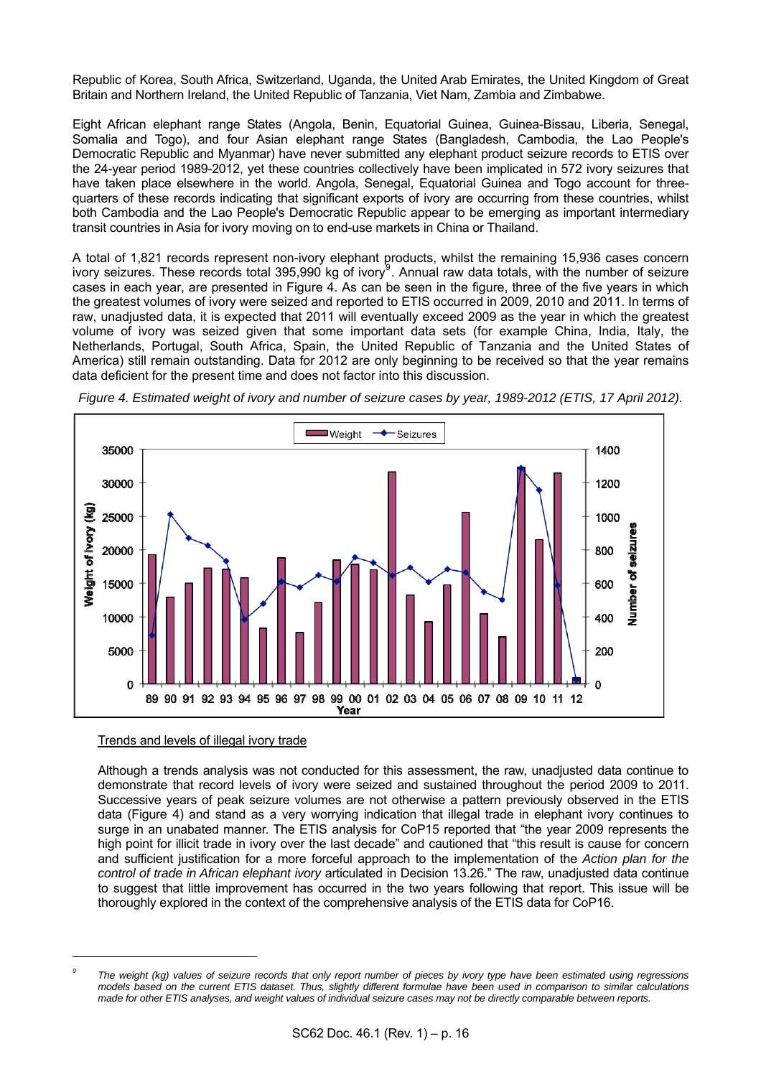Republic of Korea, South Africa, Switzerland, Uganda, the United Arab Emirates, the United Kingdom of Great Britain and Northern Ireland, the United Republic of Tanzania, Viet Nam, Zambia and Zimbabwe.

Eight African elephant range States (Angola, Benin, Equatorial Guinea, Guinea-Bissau, Liberia, Senegal, Somalia and Togo), and four Asian elephant range States (Bangladesh, Cambodia, the Lao People's Democratic Republic and Myanmar) have never submitted any elephant product seizure records to ETIS over the 24-year period 1989-2012, yet these countries collectively have been implicated in 572 ivory seizures that have taken place elsewhere in the world. Angola, Senegal, Equatorial Guinea and Togo account for threequarters of these records indicating that significant exports of ivory are occurring from these countries, whilst both Cambodia and the Lao People's Democratic Republic appear to be emerging as important intermediary transit countries in Asia for ivory moving on to end-use markets in China or Thailand.

A total of 1,821 records represent non-ivory elephant products, whilst the remaining 15,936 cases concern ivory seizures. These records total 3[9](#page-15-0)5,990 kg of ivory<sup>9</sup>. Annual raw data totals, with the number of seizure cases in each year, are presented in Figure 4. As can be seen in the figure, three of the five years in which the greatest volumes of ivory were seized and reported to ETIS occurred in 2009, 2010 and 2011. In terms of raw, unadjusted data, it is expected that 2011 will eventually exceed 2009 as the year in which the greatest volume of ivory was seized given that some important data sets (for example China, India, Italy, the Netherlands, Portugal, South Africa, Spain, the United Republic of Tanzania and the United States of America) still remain outstanding. Data for 2012 are only beginning to be received so that the year remains data deficient for the present time and does not factor into this discussion.

<span id="page-15-1"></span>

*Figure 4. Estimated weight of ivory and number of seizure cases by year, 1989-2012 (ETIS, 17 April 2012).* 

## Trends and levels of illegal ivory trade

l

 Although a trends analysis was not conducted for this assessment, the raw, unadjusted data continue to demonstrate that record levels of ivory were seized and sustained throughout the period 2009 to 2011. Successive years of peak seizure volumes are not otherwise a pattern previously observed in the ETIS data [\(Figure 4](#page-15-1)) and stand as a very worrying indication that illegal trade in elephant ivory continues to surge in an unabated manner. The ETIS analysis for CoP15 reported that "the year 2009 represents the high point for illicit trade in ivory over the last decade" and cautioned that "this result is cause for concern and sufficient justification for a more forceful approach to the implementation of the *Action plan for the control of trade in African elephant ivory* articulated in Decision 13.26." The raw, unadjusted data continue to suggest that little improvement has occurred in the two years following that report. This issue will be thoroughly explored in the context of the comprehensive analysis of the ETIS data for CoP16.

<span id="page-15-0"></span>*<sup>9</sup> The weight (kg) values of seizure records that only report number of pieces by ivory type have been estimated using regressions models based on the current ETIS dataset. Thus, slightly different formulae have been used in comparison to similar calculations made for other ETIS analyses, and weight values of individual seizure cases may not be directly comparable between reports.*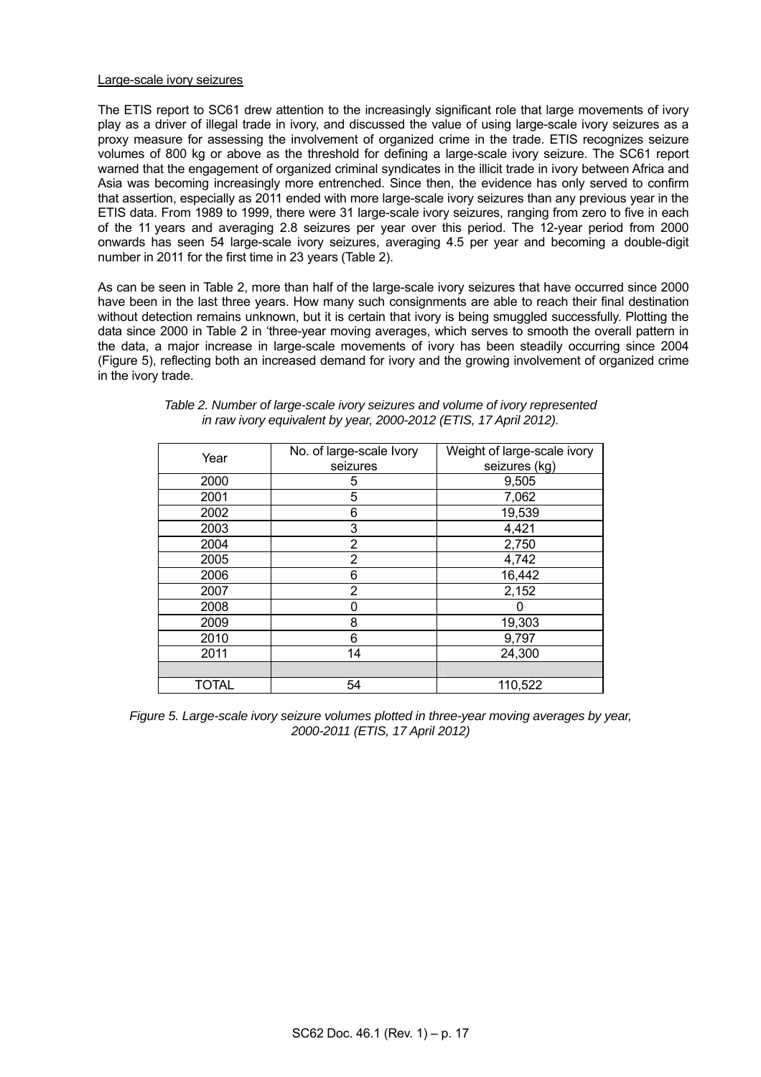## Large-scale ivory seizures

 The ETIS report to SC61 drew attention to the increasingly significant role that large movements of ivory play as a driver of illegal trade in ivory, and discussed the value of using large-scale ivory seizures as a proxy measure for assessing the involvement of organized crime in the trade. ETIS recognizes seizure volumes of 800 kg or above as the threshold for defining a large-scale ivory seizure. The SC61 report warned that the engagement of organized criminal syndicates in the illicit trade in ivory between Africa and Asia was becoming increasingly more entrenched. Since then, the evidence has only served to confirm that assertion, especially as 2011 ended with more large-scale ivory seizures than any previous year in the ETIS data. From 1989 to 1999, there were 31 large-scale ivory seizures, ranging from zero to five in each of the 11 years and averaging 2.8 seizures per year over this period. The 12-year period from 2000 onwards has seen 54 large-scale ivory seizures, averaging 4.5 per year and becoming a double-digit number in 2011 for the first time in 23 years (Table 2).

 As can be seen in Table 2, more than half of the large-scale ivory seizures that have occurred since 2000 have been in the last three years. How many such consignments are able to reach their final destination without detection remains unknown, but it is certain that ivory is being smuggled successfully. Plotting the data since 2000 in Table 2 in 'three-year moving averages, which serves to smooth the overall pattern in the data, a major increase in large-scale movements of ivory has been steadily occurring since 2004 (Figure 5), reflecting both an increased demand for ivory and the growing involvement of organized crime in the ivory trade.

| Year  | No. of large-scale Ivory | Weight of large-scale ivory |  |  |
|-------|--------------------------|-----------------------------|--|--|
|       | seizures                 | seizures (kg)               |  |  |
| 2000  | 5                        | 9,505                       |  |  |
| 2001  | 5                        | 7,062                       |  |  |
| 2002  | 6                        | 19,539                      |  |  |
| 2003  | 3                        | 4,421                       |  |  |
| 2004  | 2                        | 2,750                       |  |  |
| 2005  | 2                        | 4,742                       |  |  |
| 2006  | 6                        | 16,442                      |  |  |
| 2007  | 2                        | 2,152                       |  |  |
| 2008  | 0                        |                             |  |  |
| 2009  | 8                        | 19,303                      |  |  |
| 2010  | 6                        | 9,797                       |  |  |
| 2011  | 14                       | 24,300                      |  |  |
|       |                          |                             |  |  |
| TOTAL | 54                       | 110,522                     |  |  |

| Table 2. Number of large-scale ivory seizures and volume of ivory represented |  |
|-------------------------------------------------------------------------------|--|
| in raw ivory equivalent by year, 2000-2012 (ETIS, 17 April 2012).             |  |

*Figure 5. Large-scale ivory seizure volumes plotted in three-year moving averages by year, 2000-2011 (ETIS, 17 April 2012)*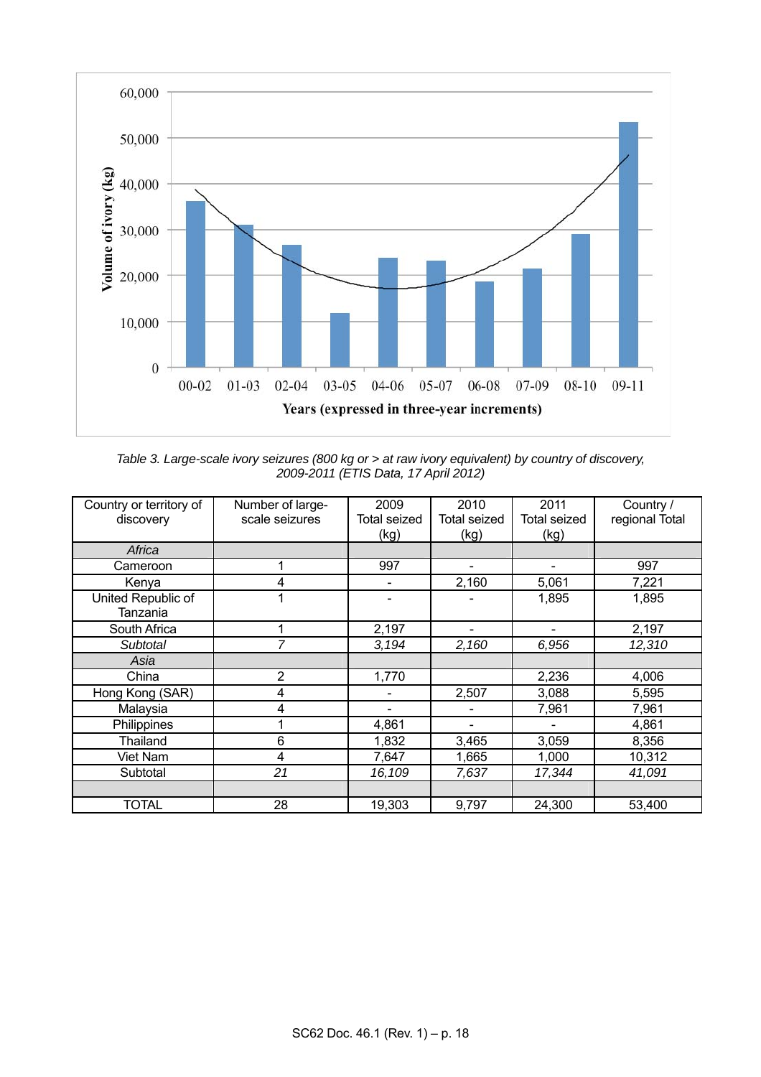

*Table 3. Large-scale ivory seizures (800 kg or > at raw ivory equivalent) by country of discovery, 2009-2011 (ETIS Data, 17 April 2012)* 

| Country or territory of<br>discovery | Number of large-<br>scale seizures | 2009<br><b>Total seized</b><br>(kg) | 2010<br><b>Total seized</b><br>(kg) | 2011<br><b>Total seized</b><br>(kg) | Country /<br>regional Total |
|--------------------------------------|------------------------------------|-------------------------------------|-------------------------------------|-------------------------------------|-----------------------------|
| Africa                               |                                    |                                     |                                     |                                     |                             |
| Cameroon                             | 1                                  | 997                                 |                                     |                                     | 997                         |
| Kenya                                | 4                                  |                                     | 2,160                               | 5,061                               | 7,221                       |
| United Republic of<br>Tanzania       | 1                                  |                                     |                                     | 1,895                               | 1,895                       |
| South Africa                         |                                    | 2,197                               |                                     |                                     | 2,197                       |
| Subtotal                             | 7                                  | 3,194                               | 2,160                               | 6,956                               | 12,310                      |
| Asia                                 |                                    |                                     |                                     |                                     |                             |
| China                                | 2                                  | 1,770                               |                                     | 2,236                               | 4,006                       |
| Hong Kong (SAR)                      | 4                                  |                                     | 2,507                               | 3,088                               | 5,595                       |
| Malaysia                             | 4                                  |                                     |                                     | 7,961                               | 7,961                       |
| Philippines                          |                                    | 4,861                               |                                     |                                     | 4,861                       |
| Thailand                             | 6                                  | 1,832                               | 3,465                               | 3,059                               | 8,356                       |
| Viet Nam                             | 4                                  | 7,647                               | 1,665                               | 1,000                               | 10,312                      |
| Subtotal                             | 21                                 | 16,109                              | 7,637                               | 17,344                              | 41,091                      |
|                                      |                                    |                                     |                                     |                                     |                             |
| <b>TOTAL</b>                         | 28                                 | 19,303                              | 9,797                               | 24,300                              | 53,400                      |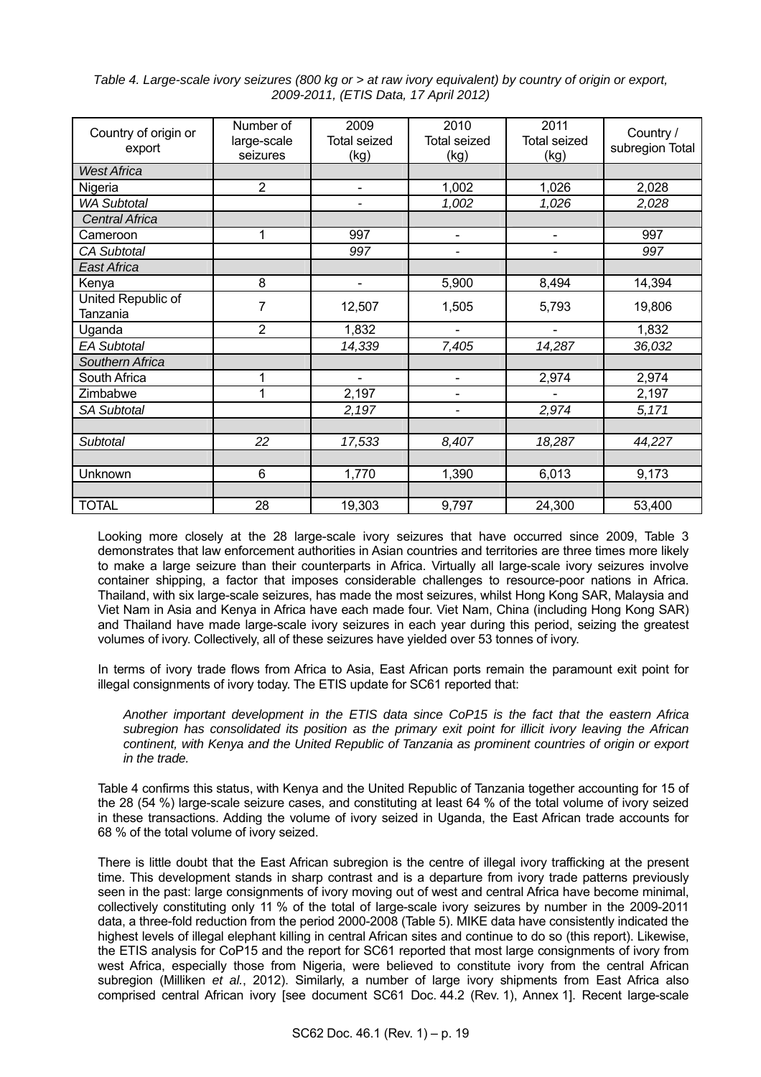| Table 4. Large-scale ivory seizures (800 kg or > at raw ivory equivalent) by country of origin or export, |  |
|-----------------------------------------------------------------------------------------------------------|--|
| 2009-2011, (ETIS Data, 17 April 2012)                                                                     |  |

| Country of origin or<br>export | Number of<br>large-scale<br>seizures | 2009<br><b>Total seized</b><br>(kg) | 2010<br><b>Total seized</b><br>(kg) | 2011<br><b>Total seized</b><br>(kg) | Country /<br>subregion Total |
|--------------------------------|--------------------------------------|-------------------------------------|-------------------------------------|-------------------------------------|------------------------------|
| <b>West Africa</b>             |                                      |                                     |                                     |                                     |                              |
| Nigeria                        | 2                                    | $\blacksquare$                      | 1,002                               | 1,026                               | 2,028                        |
| <b>WA Subtotal</b>             |                                      | -                                   | 1,002                               | 1,026                               | 2,028                        |
| <b>Central Africa</b>          |                                      |                                     |                                     |                                     |                              |
| Cameroon                       | 1                                    | 997                                 | $\blacksquare$                      | $\overline{\phantom{a}}$            | 997                          |
| <b>CA Subtotal</b>             |                                      | 997                                 |                                     | $\overline{\phantom{0}}$            | 997                          |
| East Africa                    |                                      |                                     |                                     |                                     |                              |
| Kenya                          | 8                                    | $\blacksquare$                      | 5,900                               | 8,494                               | 14,394                       |
| United Republic of<br>Tanzania | $\overline{7}$                       | 12,507                              | 1,505                               | 5,793                               | 19,806                       |
| Uganda                         | $\overline{2}$                       | 1,832                               | $\blacksquare$                      | $\overline{\phantom{a}}$            | 1,832                        |
| <b>EA Subtotal</b>             |                                      | 14,339                              | 7,405                               | 14,287                              | 36,032                       |
| Southern Africa                |                                      |                                     |                                     |                                     |                              |
| South Africa                   | 1                                    | $\blacksquare$                      | $\blacksquare$                      | 2,974                               | 2,974                        |
| Zimbabwe                       | 1                                    | 2,197                               | $\overline{\phantom{0}}$            | L                                   | 2,197                        |
| <b>SA Subtotal</b>             |                                      | 2,197                               |                                     | 2,974                               | 5,171                        |
|                                |                                      |                                     |                                     |                                     |                              |
| <b>Subtotal</b>                | 22                                   | 17,533                              | 8,407                               | 18,287                              | 44,227                       |
|                                |                                      |                                     |                                     |                                     |                              |
| Unknown                        | $6\phantom{1}$                       | 1,770                               | 1,390                               | 6,013                               | 9,173                        |
|                                |                                      |                                     |                                     |                                     |                              |
| <b>TOTAL</b>                   | 28                                   | 19,303                              | 9,797                               | 24,300                              | 53,400                       |

 Looking more closely at the 28 large-scale ivory seizures that have occurred since 2009, Table 3 demonstrates that law enforcement authorities in Asian countries and territories are three times more likely to make a large seizure than their counterparts in Africa. Virtually all large-scale ivory seizures involve container shipping, a factor that imposes considerable challenges to resource-poor nations in Africa. Thailand, with six large-scale seizures, has made the most seizures, whilst Hong Kong SAR, Malaysia and Viet Nam in Asia and Kenya in Africa have each made four. Viet Nam, China (including Hong Kong SAR) and Thailand have made large-scale ivory seizures in each year during this period, seizing the greatest volumes of ivory. Collectively, all of these seizures have yielded over 53 tonnes of ivory.

 In terms of ivory trade flows from Africa to Asia, East African ports remain the paramount exit point for illegal consignments of ivory today. The ETIS update for SC61 reported that:

 *Another important development in the ETIS data since CoP15 is the fact that the eastern Africa subregion has consolidated its position as the primary exit point for illicit ivory leaving the African continent, with Kenya and the United Republic of Tanzania as prominent countries of origin or export in the trade.* 

 Table 4 confirms this status, with Kenya and the United Republic of Tanzania together accounting for 15 of the 28 (54 %) large-scale seizure cases, and constituting at least 64 % of the total volume of ivory seized in these transactions. Adding the volume of ivory seized in Uganda, the East African trade accounts for 68 % of the total volume of ivory seized.

 There is little doubt that the East African subregion is the centre of illegal ivory trafficking at the present time. This development stands in sharp contrast and is a departure from ivory trade patterns previously seen in the past: large consignments of ivory moving out of west and central Africa have become minimal, collectively constituting only 11 % of the total of large-scale ivory seizures by number in the 2009-2011 data, a three-fold reduction from the period 2000-2008 (Table 5). MIKE data have consistently indicated the highest levels of illegal elephant killing in central African sites and continue to do so (this report). Likewise, the ETIS analysis for CoP15 and the report for SC61 reported that most large consignments of ivory from west Africa, especially those from Nigeria, were believed to constitute ivory from the central African subregion (Milliken *et al.*, 2012). Similarly, a number of large ivory shipments from East Africa also comprised central African ivory [see document SC61 Doc. 44.2 (Rev. 1), Annex 1]. Recent large-scale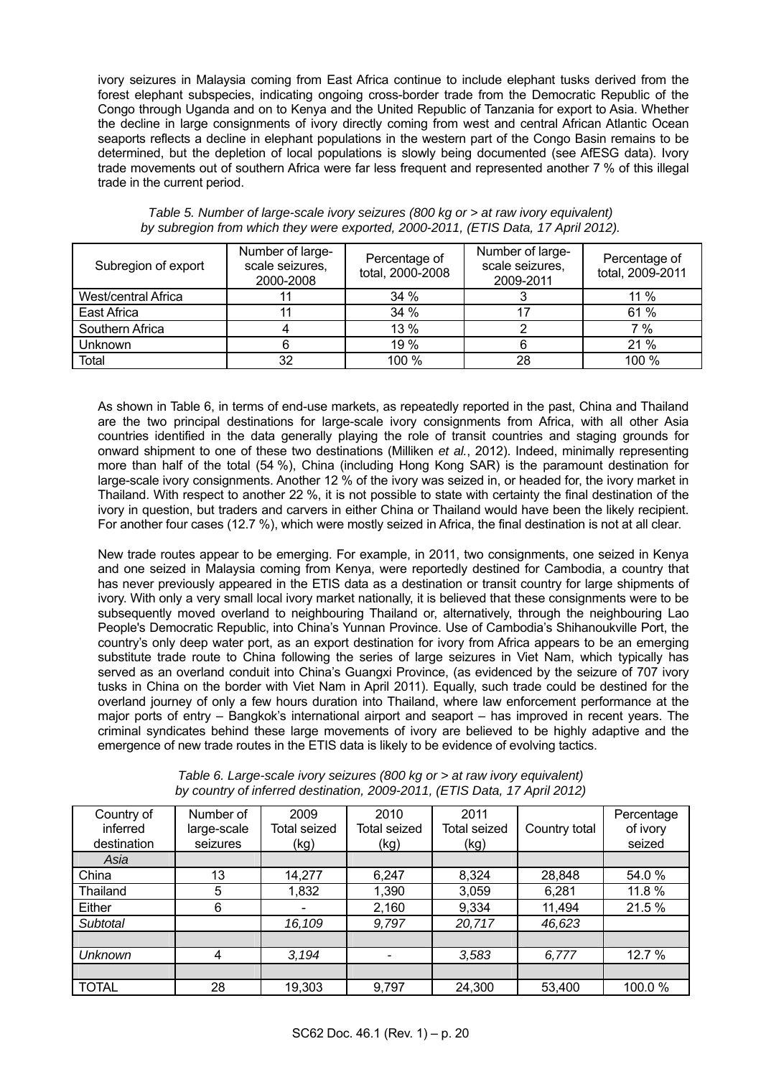ivory seizures in Malaysia coming from East Africa continue to include elephant tusks derived from the forest elephant subspecies, indicating ongoing cross-border trade from the Democratic Republic of the Congo through Uganda and on to Kenya and the United Republic of Tanzania for export to Asia. Whether the decline in large consignments of ivory directly coming from west and central African Atlantic Ocean seaports reflects a decline in elephant populations in the western part of the Congo Basin remains to be determined, but the depletion of local populations is slowly being documented (see AfESG data). Ivory trade movements out of southern Africa were far less frequent and represented another 7 % of this illegal trade in the current period.

| Subregion of export | Number of large-<br>scale seizures,<br>2000-2008 | Percentage of<br>total, 2000-2008 | Number of large-<br>scale seizures,<br>2009-2011 | Percentage of<br>total, 2009-2011 |  |
|---------------------|--------------------------------------------------|-----------------------------------|--------------------------------------------------|-----------------------------------|--|
| West/central Africa |                                                  | 34 %                              |                                                  | 11 $%$                            |  |
| East Africa         |                                                  | 34%                               |                                                  | 61 %                              |  |
| Southern Africa     |                                                  | 13 %                              |                                                  | 7%                                |  |
| Unknown             |                                                  | 19 %                              |                                                  | 21 %                              |  |
| Total               | 32                                               | 100 %                             | 28                                               | 100 %                             |  |

*Table 5. Number of large-scale ivory seizures (800 kg or > at raw ivory equivalent) by subregion from which they were exported, 2000-2011, (ETIS Data, 17 April 2012).* 

 As shown in Table 6, in terms of end-use markets, as repeatedly reported in the past, China and Thailand are the two principal destinations for large-scale ivory consignments from Africa, with all other Asia countries identified in the data generally playing the role of transit countries and staging grounds for onward shipment to one of these two destinations (Milliken *et al.*, 2012). Indeed, minimally representing more than half of the total (54 %), China (including Hong Kong SAR) is the paramount destination for large-scale ivory consignments. Another 12 % of the ivory was seized in, or headed for, the ivory market in Thailand. With respect to another 22 %, it is not possible to state with certainty the final destination of the ivory in question, but traders and carvers in either China or Thailand would have been the likely recipient. For another four cases (12.7 %), which were mostly seized in Africa, the final destination is not at all clear.

 New trade routes appear to be emerging. For example, in 2011, two consignments, one seized in Kenya and one seized in Malaysia coming from Kenya, were reportedly destined for Cambodia, a country that has never previously appeared in the ETIS data as a destination or transit country for large shipments of ivory. With only a very small local ivory market nationally, it is believed that these consignments were to be subsequently moved overland to neighbouring Thailand or, alternatively, through the neighbouring Lao People's Democratic Republic, into China's Yunnan Province. Use of Cambodia's Shihanoukville Port, the country's only deep water port, as an export destination for ivory from Africa appears to be an emerging substitute trade route to China following the series of large seizures in Viet Nam, which typically has served as an overland conduit into China's Guangxi Province, (as evidenced by the seizure of 707 ivory tusks in China on the border with Viet Nam in April 2011). Equally, such trade could be destined for the overland journey of only a few hours duration into Thailand, where law enforcement performance at the major ports of entry – Bangkok's international airport and seaport – has improved in recent years. The criminal syndicates behind these large movements of ivory are believed to be highly adaptive and the emergence of new trade routes in the ETIS data is likely to be evidence of evolving tactics.

| Country of<br>inferred<br>destination | Number of<br>large-scale<br>seizures | 2009<br>Total seized<br>(kg) | 2010<br><b>Total seized</b><br>(kg) | 2011<br><b>Total seized</b><br>(kg) | Country total | Percentage<br>of ivory<br>seized |
|---------------------------------------|--------------------------------------|------------------------------|-------------------------------------|-------------------------------------|---------------|----------------------------------|
| Asia                                  |                                      |                              |                                     |                                     |               |                                  |
| China                                 | 13                                   | 14,277                       | 6,247                               | 8,324                               | 28,848        | 54.0 %                           |
| Thailand                              | 5                                    | 1,832                        | 1,390                               | 3,059                               | 6,281         | 11.8 %                           |
| Either                                | 6                                    |                              | 2,160                               | 9,334                               | 11,494        | 21.5%                            |
| <b>Subtotal</b>                       |                                      | 16,109                       | 9.797                               | 20,717                              | 46,623        |                                  |
|                                       |                                      |                              |                                     |                                     |               |                                  |
| <b>Unknown</b>                        | 4                                    | 3,194                        |                                     | 3,583                               | 6,777         | 12.7 %                           |
|                                       |                                      |                              |                                     |                                     |               |                                  |
| <b>TOTAL</b>                          | 28                                   | 19,303                       | 9,797                               | 24,300                              | 53,400        | 100.0%                           |

*Table 6. Large-scale ivory seizures (800 kg or > at raw ivory equivalent) by country of inferred destination, 2009-2011, (ETIS Data, 17 April 2012)*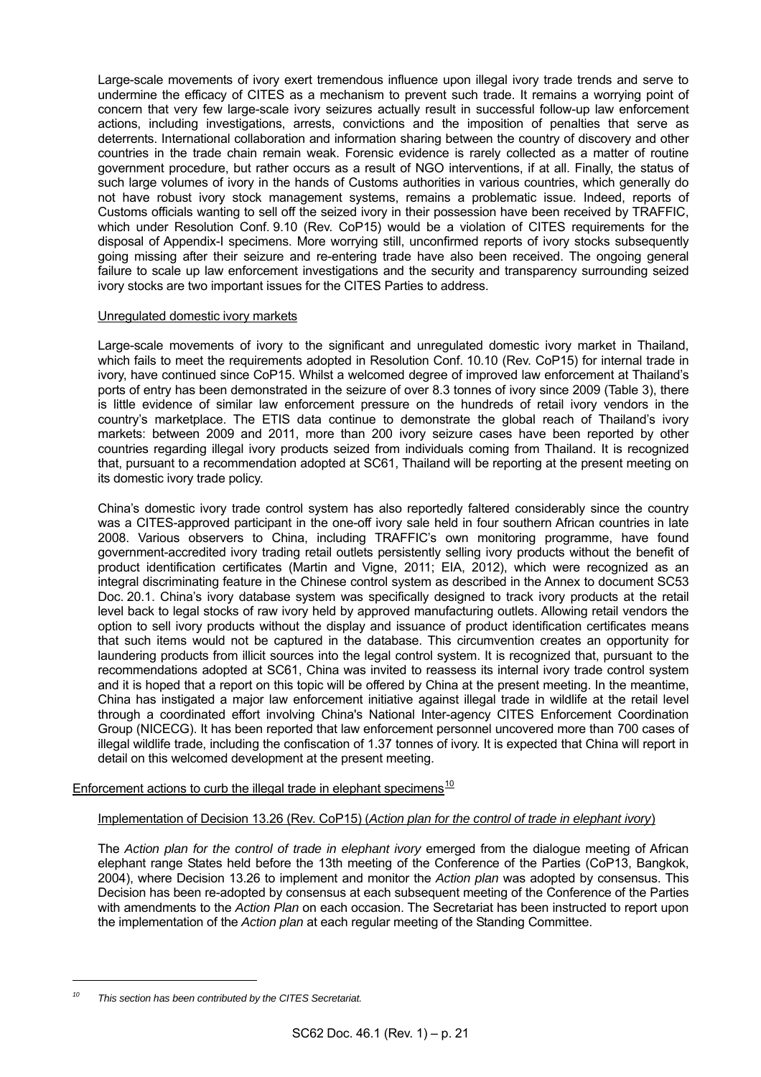Large-scale movements of ivory exert tremendous influence upon illegal ivory trade trends and serve to undermine the efficacy of CITES as a mechanism to prevent such trade. It remains a worrying point of concern that very few large-scale ivory seizures actually result in successful follow-up law enforcement actions, including investigations, arrests, convictions and the imposition of penalties that serve as deterrents. International collaboration and information sharing between the country of discovery and other countries in the trade chain remain weak. Forensic evidence is rarely collected as a matter of routine government procedure, but rather occurs as a result of NGO interventions, if at all. Finally, the status of such large volumes of ivory in the hands of Customs authorities in various countries, which generally do not have robust ivory stock management systems, remains a problematic issue. Indeed, reports of Customs officials wanting to sell off the seized ivory in their possession have been received by TRAFFIC, which under Resolution Conf. 9.10 (Rev. CoP15) would be a violation of CITES requirements for the disposal of Appendix-I specimens. More worrying still, unconfirmed reports of ivory stocks subsequently going missing after their seizure and re-entering trade have also been received. The ongoing general failure to scale up law enforcement investigations and the security and transparency surrounding seized ivory stocks are two important issues for the CITES Parties to address.

## Unregulated domestic ivory markets

 Large-scale movements of ivory to the significant and unregulated domestic ivory market in Thailand, which fails to meet the requirements adopted in Resolution Conf. 10.10 (Rev. CoP15) for internal trade in ivory, have continued since CoP15. Whilst a welcomed degree of improved law enforcement at Thailand's ports of entry has been demonstrated in the seizure of over 8.3 tonnes of ivory since 2009 (Table 3), there is little evidence of similar law enforcement pressure on the hundreds of retail ivory vendors in the country's marketplace. The ETIS data continue to demonstrate the global reach of Thailand's ivory markets: between 2009 and 2011, more than 200 ivory seizure cases have been reported by other countries regarding illegal ivory products seized from individuals coming from Thailand. It is recognized that, pursuant to a recommendation adopted at SC61, Thailand will be reporting at the present meeting on its domestic ivory trade policy.

 China's domestic ivory trade control system has also reportedly faltered considerably since the country was a CITES-approved participant in the one-off ivory sale held in four southern African countries in late 2008. Various observers to China, including TRAFFIC's own monitoring programme, have found government-accredited ivory trading retail outlets persistently selling ivory products without the benefit of product identification certificates (Martin and Vigne, 2011; EIA, 2012), which were recognized as an integral discriminating feature in the Chinese control system as described in the Annex to document SC53 Doc. 20.1. China's ivory database system was specifically designed to track ivory products at the retail level back to legal stocks of raw ivory held by approved manufacturing outlets. Allowing retail vendors the option to sell ivory products without the display and issuance of product identification certificates means that such items would not be captured in the database. This circumvention creates an opportunity for laundering products from illicit sources into the legal control system. It is recognized that, pursuant to the recommendations adopted at SC61, China was invited to reassess its internal ivory trade control system and it is hoped that a report on this topic will be offered by China at the present meeting. In the meantime, China has instigated a major law enforcement initiative against illegal trade in wildlife at the retail level through a coordinated effort involving China's National Inter-agency CITES Enforcement Coordination Group (NICECG). It has been reported that law enforcement personnel uncovered more than 700 cases of illegal wildlife trade, including the confiscation of 1.37 tonnes of ivory. It is expected that China will report in detail on this welcomed development at the present meeting.

# Enforcement actions to curb the illegal trade in elephant specimens $10$

## Implementation of Decision 13.26 (Rev. CoP15) (*Action plan for the control of trade in elephant ivory*)

 The *Action plan for the control of trade in elephant ivory* emerged from the dialogue meeting of African elephant range States held before the 13th meeting of the Conference of the Parties (CoP13, Bangkok, 2004), where Decision 13.26 to implement and monitor the *Action plan* was adopted by consensus. This Decision has been re-adopted by consensus at each subsequent meeting of the Conference of the Parties with amendments to the *Action Plan* on each occasion. The Secretariat has been instructed to report upon the implementation of the *Action plan* at each regular meeting of the Standing Committee.

l

<span id="page-20-0"></span>*<sup>10</sup> This section has been contributed by the CITES Secretariat.*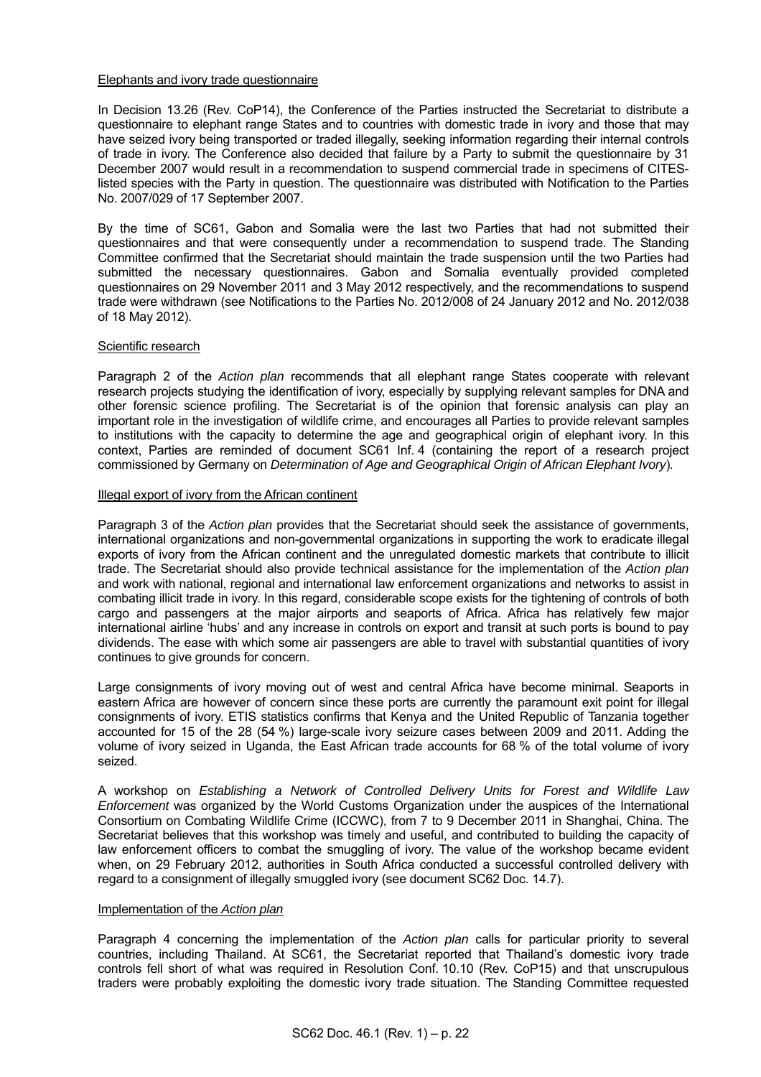## Elephants and ivory trade questionnaire

 In Decision 13.26 (Rev. CoP14), the Conference of the Parties instructed the Secretariat to distribute a questionnaire to elephant range States and to countries with domestic trade in ivory and those that may have seized ivory being transported or traded illegally, seeking information regarding their internal controls of trade in ivory. The Conference also decided that failure by a Party to submit the questionnaire by 31 December 2007 would result in a recommendation to suspend commercial trade in specimens of CITESlisted species with the Party in question. The questionnaire was distributed with Notification to the Parties No. 2007/029 of 17 September 2007.

 By the time of SC61, Gabon and Somalia were the last two Parties that had not submitted their questionnaires and that were consequently under a recommendation to suspend trade. The Standing Committee confirmed that the Secretariat should maintain the trade suspension until the two Parties had submitted the necessary questionnaires. Gabon and Somalia eventually provided completed questionnaires on 29 November 2011 and 3 May 2012 respectively, and the recommendations to suspend trade were withdrawn (see Notifications to the Parties No. 2012/008 of 24 January 2012 and No. 2012/038 of 18 May 2012).

## Scientific research

 Paragraph 2 of the *Action plan* recommends that all elephant range States cooperate with relevant research projects studying the identification of ivory, especially by supplying relevant samples for DNA and other forensic science profiling. The Secretariat is of the opinion that forensic analysis can play an important role in the investigation of wildlife crime, and encourages all Parties to provide relevant samples to institutions with the capacity to determine the age and geographical origin of elephant ivory. In this context, Parties are reminded of document SC61 Inf. 4 (containing the report of a research project commissioned by Germany on *Determination of Age and Geographical Origin of African Elephant Ivory*)*.*

#### Illegal export of ivory from the African continent

 Paragraph 3 of the *Action plan* provides that the Secretariat should seek the assistance of governments, international organizations and non-governmental organizations in supporting the work to eradicate illegal exports of ivory from the African continent and the unregulated domestic markets that contribute to illicit trade. The Secretariat should also provide technical assistance for the implementation of the *Action plan* and work with national, regional and international law enforcement organizations and networks to assist in combating illicit trade in ivory. In this regard, considerable scope exists for the tightening of controls of both cargo and passengers at the major airports and seaports of Africa. Africa has relatively few major international airline 'hubs' and any increase in controls on export and transit at such ports is bound to pay dividends. The ease with which some air passengers are able to travel with substantial quantities of ivory continues to give grounds for concern.

 Large consignments of ivory moving out of west and central Africa have become minimal. Seaports in eastern Africa are however of concern since these ports are currently the paramount exit point for illegal consignments of ivory. ETIS statistics confirms that Kenya and the United Republic of Tanzania together accounted for 15 of the 28 (54 %) large-scale ivory seizure cases between 2009 and 2011. Adding the volume of ivory seized in Uganda, the East African trade accounts for 68 % of the total volume of ivory seized.

 A workshop on *Establishing a Network of Controlled Delivery Units for Forest and Wildlife Law Enforcement* was organized by the World Customs Organization under the auspices of the International Consortium on Combating Wildlife Crime (ICCWC), from 7 to 9 December 2011 in Shanghai, China. The Secretariat believes that this workshop was timely and useful, and contributed to building the capacity of law enforcement officers to combat the smuggling of ivory. The value of the workshop became evident when, on 29 February 2012, authorities in South Africa conducted a successful controlled delivery with regard to a consignment of illegally smuggled ivory (see document SC62 Doc. 14.7).

#### Implementation of the *Action plan*

 Paragraph 4 concerning the implementation of the *Action plan* calls for particular priority to several countries, including Thailand. At SC61, the Secretariat reported that Thailand's domestic ivory trade controls fell short of what was required in Resolution Conf. 10.10 (Rev. CoP15) and that unscrupulous traders were probably exploiting the domestic ivory trade situation. The Standing Committee requested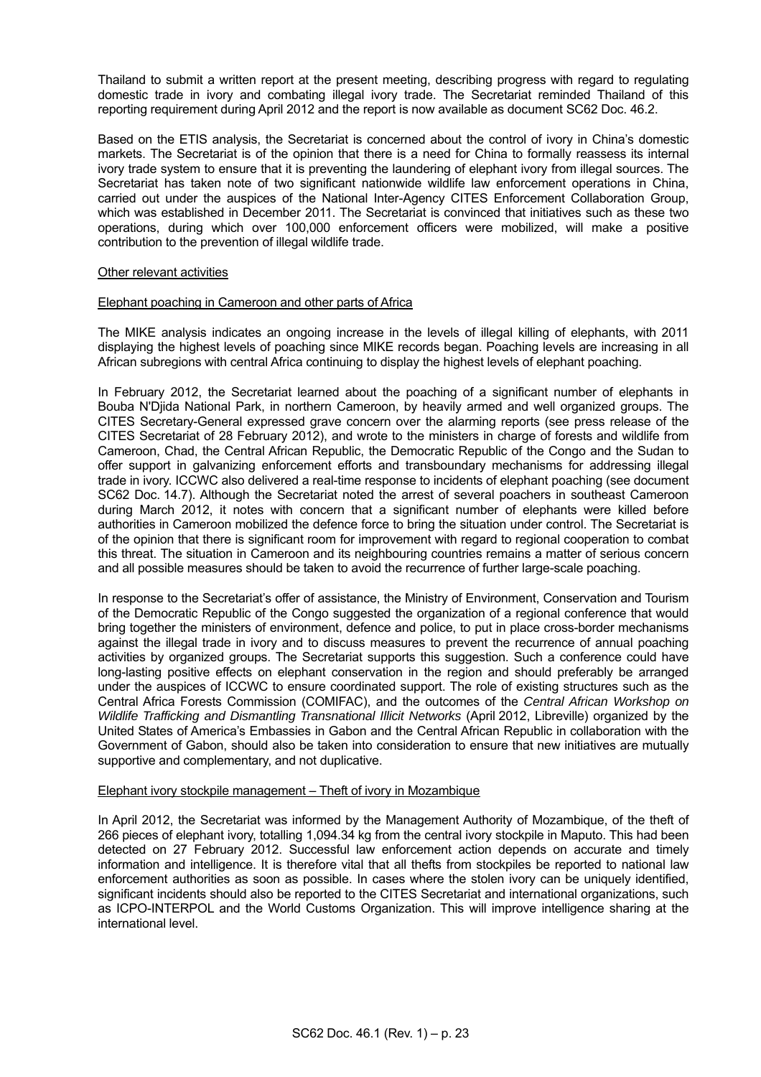Thailand to submit a written report at the present meeting, describing progress with regard to regulating domestic trade in ivory and combating illegal ivory trade. The Secretariat reminded Thailand of this reporting requirement during April 2012 and the report is now available as document SC62 Doc. 46.2.

 Based on the ETIS analysis, the Secretariat is concerned about the control of ivory in China's domestic markets. The Secretariat is of the opinion that there is a need for China to formally reassess its internal ivory trade system to ensure that it is preventing the laundering of elephant ivory from illegal sources. The Secretariat has taken note of two significant nationwide wildlife law enforcement operations in China, carried out under the auspices of the National Inter-Agency CITES Enforcement Collaboration Group, which was established in December 2011. The Secretariat is convinced that initiatives such as these two operations, during which over 100,000 enforcement officers were mobilized, will make a positive contribution to the prevention of illegal wildlife trade.

## Other relevant activities

#### Elephant poaching in Cameroon and other parts of Africa

 The MIKE analysis indicates an ongoing increase in the levels of illegal killing of elephants, with 2011 displaying the highest levels of poaching since MIKE records began. Poaching levels are increasing in all African subregions with central Africa continuing to display the highest levels of elephant poaching.

In February 2012, the Secretariat learned about the poaching of a significant number of elephants in Bouba N'Djida National Park, in northern Cameroon, by heavily armed and well organized groups. The CITES Secretary-General expressed grave concern over the alarming reports (see press release of the CITES Secretariat of 28 February 2012), and wrote to the ministers in charge of forests and wildlife from Cameroon, Chad, the Central African Republic, the Democratic Republic of the Congo and the Sudan to offer support in galvanizing enforcement efforts and transboundary mechanisms for addressing illegal trade in ivory. ICCWC also delivered a real-time response to incidents of elephant poaching (see document SC62 Doc. 14.7). Although the Secretariat noted the arrest of several poachers in southeast Cameroon during March 2012, it notes with concern that a significant number of elephants were killed before authorities in Cameroon mobilized the defence force to bring the situation under control. The Secretariat is of the opinion that there is significant room for improvement with regard to regional cooperation to combat this threat. The situation in Cameroon and its neighbouring countries remains a matter of serious concern and all possible measures should be taken to avoid the recurrence of further large-scale poaching.

 In response to the Secretariat's offer of assistance, the Ministry of Environment, Conservation and Tourism of the Democratic Republic of the Congo suggested the organization of a regional conference that would bring together the ministers of environment, defence and police, to put in place cross-border mechanisms against the illegal trade in ivory and to discuss measures to prevent the recurrence of annual poaching activities by organized groups. The Secretariat supports this suggestion. Such a conference could have long-lasting positive effects on elephant conservation in the region and should preferably be arranged under the auspices of ICCWC to ensure coordinated support. The role of existing structures such as the Central Africa Forests Commission (COMIFAC), and the outcomes of the *Central African Workshop on Wildlife Trafficking and Dismantling Transnational Illicit Networks* (April 2012, Libreville) organized by the United States of America's Embassies in Gabon and the Central African Republic in collaboration with the Government of Gabon, should also be taken into consideration to ensure that new initiatives are mutually supportive and complementary, and not duplicative.

## Elephant ivory stockpile management – Theft of ivory in Mozambique

 In April 2012, the Secretariat was informed by the Management Authority of Mozambique, of the theft of 266 pieces of elephant ivory, totalling 1,094.34 kg from the central ivory stockpile in Maputo. This had been detected on 27 February 2012. Successful law enforcement action depends on accurate and timely information and intelligence. It is therefore vital that all thefts from stockpiles be reported to national law enforcement authorities as soon as possible. In cases where the stolen ivory can be uniquely identified, significant incidents should also be reported to the CITES Secretariat and international organizations, such as ICPO-INTERPOL and the World Customs Organization. This will improve intelligence sharing at the international level.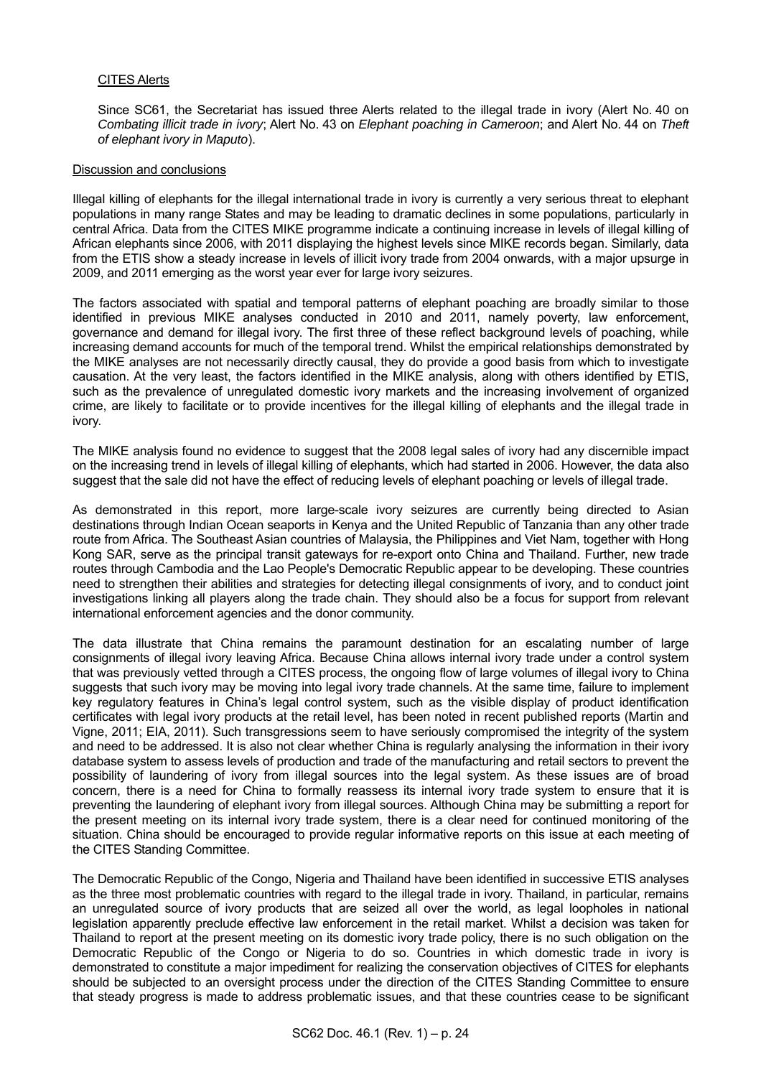## CITES Alerts

 Since SC61, the Secretariat has issued three Alerts related to the illegal trade in ivory (Alert No. 40 on *Combating illicit trade in ivory*; Alert No. 43 on *Elephant poaching in Cameroon*; and Alert No. 44 on *Theft of elephant ivory in Maputo*).

#### Discussion and conclusions

Illegal killing of elephants for the illegal international trade in ivory is currently a very serious threat to elephant populations in many range States and may be leading to dramatic declines in some populations, particularly in central Africa. Data from the CITES MIKE programme indicate a continuing increase in levels of illegal killing of African elephants since 2006, with 2011 displaying the highest levels since MIKE records began. Similarly, data from the ETIS show a steady increase in levels of illicit ivory trade from 2004 onwards, with a major upsurge in 2009, and 2011 emerging as the worst year ever for large ivory seizures.

The factors associated with spatial and temporal patterns of elephant poaching are broadly similar to those identified in previous MIKE analyses conducted in 2010 and 2011, namely poverty, law enforcement, governance and demand for illegal ivory. The first three of these reflect background levels of poaching, while increasing demand accounts for much of the temporal trend. Whilst the empirical relationships demonstrated by the MIKE analyses are not necessarily directly causal, they do provide a good basis from which to investigate causation. At the very least, the factors identified in the MIKE analysis, along with others identified by ETIS, such as the prevalence of unregulated domestic ivory markets and the increasing involvement of organized crime, are likely to facilitate or to provide incentives for the illegal killing of elephants and the illegal trade in ivory.

The MIKE analysis found no evidence to suggest that the 2008 legal sales of ivory had any discernible impact on the increasing trend in levels of illegal killing of elephants, which had started in 2006. However, the data also suggest that the sale did not have the effect of reducing levels of elephant poaching or levels of illegal trade.

As demonstrated in this report, more large-scale ivory seizures are currently being directed to Asian destinations through Indian Ocean seaports in Kenya and the United Republic of Tanzania than any other trade route from Africa. The Southeast Asian countries of Malaysia, the Philippines and Viet Nam, together with Hong Kong SAR, serve as the principal transit gateways for re-export onto China and Thailand. Further, new trade routes through Cambodia and the Lao People's Democratic Republic appear to be developing. These countries need to strengthen their abilities and strategies for detecting illegal consignments of ivory, and to conduct joint investigations linking all players along the trade chain. They should also be a focus for support from relevant international enforcement agencies and the donor community.

The data illustrate that China remains the paramount destination for an escalating number of large consignments of illegal ivory leaving Africa. Because China allows internal ivory trade under a control system that was previously vetted through a CITES process, the ongoing flow of large volumes of illegal ivory to China suggests that such ivory may be moving into legal ivory trade channels. At the same time, failure to implement key regulatory features in China's legal control system, such as the visible display of product identification certificates with legal ivory products at the retail level, has been noted in recent published reports (Martin and Vigne, 2011; EIA, 2011). Such transgressions seem to have seriously compromised the integrity of the system and need to be addressed. It is also not clear whether China is regularly analysing the information in their ivory database system to assess levels of production and trade of the manufacturing and retail sectors to prevent the possibility of laundering of ivory from illegal sources into the legal system. As these issues are of broad concern, there is a need for China to formally reassess its internal ivory trade system to ensure that it is preventing the laundering of elephant ivory from illegal sources. Although China may be submitting a report for the present meeting on its internal ivory trade system, there is a clear need for continued monitoring of the situation. China should be encouraged to provide regular informative reports on this issue at each meeting of the CITES Standing Committee.

The Democratic Republic of the Congo, Nigeria and Thailand have been identified in successive ETIS analyses as the three most problematic countries with regard to the illegal trade in ivory. Thailand, in particular, remains an unregulated source of ivory products that are seized all over the world, as legal loopholes in national legislation apparently preclude effective law enforcement in the retail market. Whilst a decision was taken for Thailand to report at the present meeting on its domestic ivory trade policy, there is no such obligation on the Democratic Republic of the Congo or Nigeria to do so. Countries in which domestic trade in ivory is demonstrated to constitute a major impediment for realizing the conservation objectives of CITES for elephants should be subjected to an oversight process under the direction of the CITES Standing Committee to ensure that steady progress is made to address problematic issues, and that these countries cease to be significant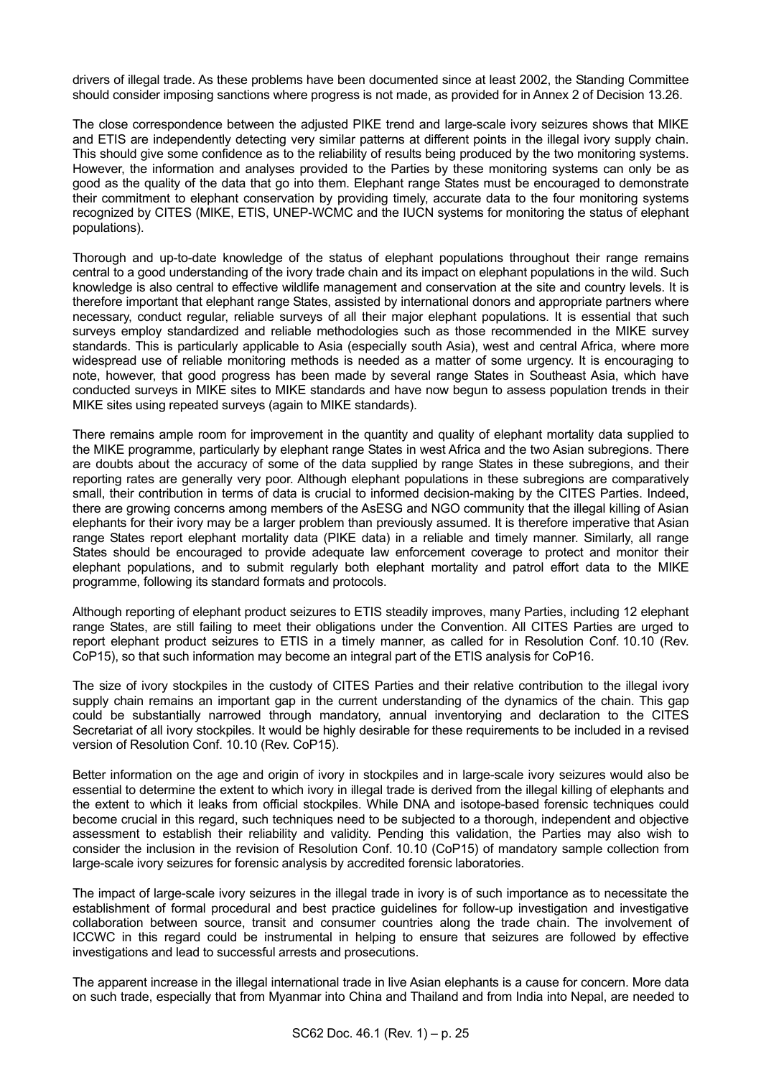drivers of illegal trade. As these problems have been documented since at least 2002, the Standing Committee should consider imposing sanctions where progress is not made, as provided for in Annex 2 of Decision 13.26.

The close correspondence between the adjusted PIKE trend and large-scale ivory seizures shows that MIKE and ETIS are independently detecting very similar patterns at different points in the illegal ivory supply chain. This should give some confidence as to the reliability of results being produced by the two monitoring systems. However, the information and analyses provided to the Parties by these monitoring systems can only be as good as the quality of the data that go into them. Elephant range States must be encouraged to demonstrate their commitment to elephant conservation by providing timely, accurate data to the four monitoring systems recognized by CITES (MIKE, ETIS, UNEP-WCMC and the IUCN systems for monitoring the status of elephant populations).

Thorough and up-to-date knowledge of the status of elephant populations throughout their range remains central to a good understanding of the ivory trade chain and its impact on elephant populations in the wild. Such knowledge is also central to effective wildlife management and conservation at the site and country levels. It is therefore important that elephant range States, assisted by international donors and appropriate partners where necessary, conduct regular, reliable surveys of all their major elephant populations. It is essential that such surveys employ standardized and reliable methodologies such as those recommended in the MIKE survey standards. This is particularly applicable to Asia (especially south Asia), west and central Africa, where more widespread use of reliable monitoring methods is needed as a matter of some urgency. It is encouraging to note, however, that good progress has been made by several range States in Southeast Asia, which have conducted surveys in MIKE sites to MIKE standards and have now begun to assess population trends in their MIKE sites using repeated surveys (again to MIKE standards).

There remains ample room for improvement in the quantity and quality of elephant mortality data supplied to the MIKE programme, particularly by elephant range States in west Africa and the two Asian subregions. There are doubts about the accuracy of some of the data supplied by range States in these subregions, and their reporting rates are generally very poor. Although elephant populations in these subregions are comparatively small, their contribution in terms of data is crucial to informed decision-making by the CITES Parties. Indeed, there are growing concerns among members of the AsESG and NGO community that the illegal killing of Asian elephants for their ivory may be a larger problem than previously assumed. It is therefore imperative that Asian range States report elephant mortality data (PIKE data) in a reliable and timely manner. Similarly, all range States should be encouraged to provide adequate law enforcement coverage to protect and monitor their elephant populations, and to submit regularly both elephant mortality and patrol effort data to the MIKE programme, following its standard formats and protocols.

Although reporting of elephant product seizures to ETIS steadily improves, many Parties, including 12 elephant range States, are still failing to meet their obligations under the Convention. All CITES Parties are urged to report elephant product seizures to ETIS in a timely manner, as called for in Resolution Conf. 10.10 (Rev. CoP15), so that such information may become an integral part of the ETIS analysis for CoP16.

The size of ivory stockpiles in the custody of CITES Parties and their relative contribution to the illegal ivory supply chain remains an important gap in the current understanding of the dynamics of the chain. This gap could be substantially narrowed through mandatory, annual inventorying and declaration to the CITES Secretariat of all ivory stockpiles. It would be highly desirable for these requirements to be included in a revised version of Resolution Conf. 10.10 (Rev. CoP15).

Better information on the age and origin of ivory in stockpiles and in large-scale ivory seizures would also be essential to determine the extent to which ivory in illegal trade is derived from the illegal killing of elephants and the extent to which it leaks from official stockpiles. While DNA and isotope-based forensic techniques could become crucial in this regard, such techniques need to be subjected to a thorough, independent and objective assessment to establish their reliability and validity. Pending this validation, the Parties may also wish to consider the inclusion in the revision of Resolution Conf. 10.10 (CoP15) of mandatory sample collection from large-scale ivory seizures for forensic analysis by accredited forensic laboratories.

The impact of large-scale ivory seizures in the illegal trade in ivory is of such importance as to necessitate the establishment of formal procedural and best practice guidelines for follow-up investigation and investigative collaboration between source, transit and consumer countries along the trade chain. The involvement of ICCWC in this regard could be instrumental in helping to ensure that seizures are followed by effective investigations and lead to successful arrests and prosecutions.

The apparent increase in the illegal international trade in live Asian elephants is a cause for concern. More data on such trade, especially that from Myanmar into China and Thailand and from India into Nepal, are needed to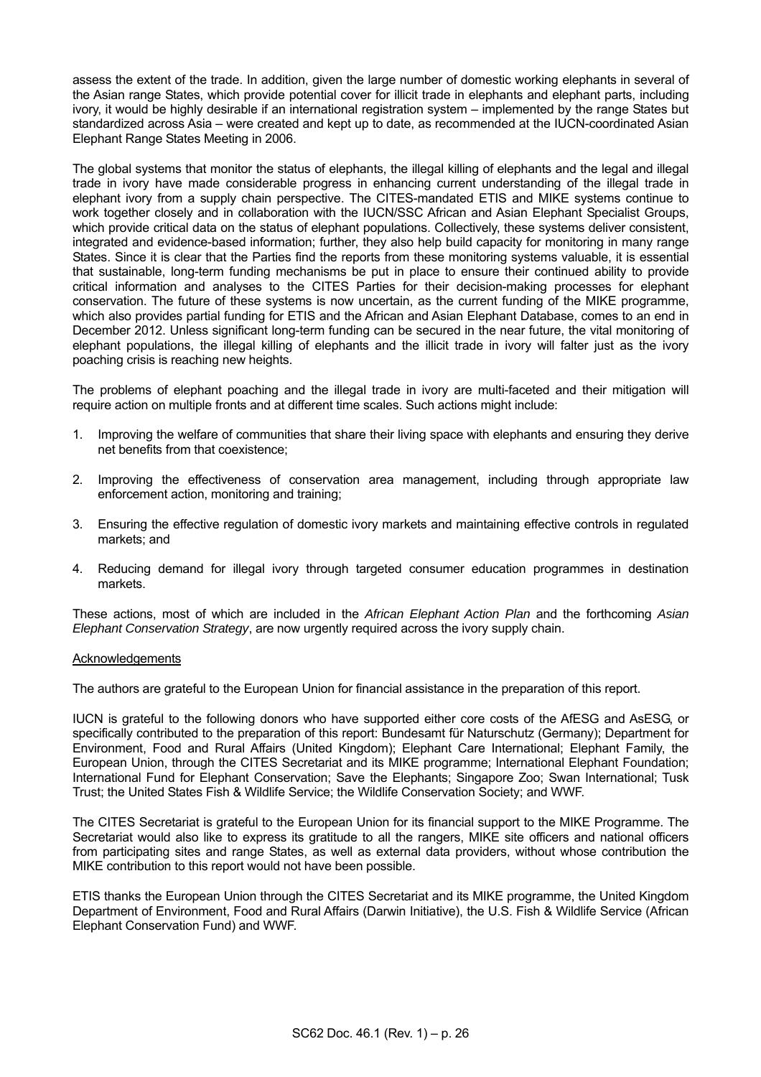assess the extent of the trade. In addition, given the large number of domestic working elephants in several of the Asian range States, which provide potential cover for illicit trade in elephants and elephant parts, including ivory, it would be highly desirable if an international registration system – implemented by the range States but standardized across Asia – were created and kept up to date, as recommended at the IUCN-coordinated Asian Elephant Range States Meeting in 2006.

The global systems that monitor the status of elephants, the illegal killing of elephants and the legal and illegal trade in ivory have made considerable progress in enhancing current understanding of the illegal trade in elephant ivory from a supply chain perspective. The CITES-mandated ETIS and MIKE systems continue to work together closely and in collaboration with the IUCN/SSC African and Asian Elephant Specialist Groups, which provide critical data on the status of elephant populations. Collectively, these systems deliver consistent, integrated and evidence-based information; further, they also help build capacity for monitoring in many range States. Since it is clear that the Parties find the reports from these monitoring systems valuable, it is essential that sustainable, long-term funding mechanisms be put in place to ensure their continued ability to provide critical information and analyses to the CITES Parties for their decision-making processes for elephant conservation. The future of these systems is now uncertain, as the current funding of the MIKE programme, which also provides partial funding for ETIS and the African and Asian Elephant Database, comes to an end in December 2012. Unless significant long-term funding can be secured in the near future, the vital monitoring of elephant populations, the illegal killing of elephants and the illicit trade in ivory will falter just as the ivory poaching crisis is reaching new heights.

The problems of elephant poaching and the illegal trade in ivory are multi-faceted and their mitigation will require action on multiple fronts and at different time scales. Such actions might include:

- 1. Improving the welfare of communities that share their living space with elephants and ensuring they derive net benefits from that coexistence;
- 2. Improving the effectiveness of conservation area management, including through appropriate law enforcement action, monitoring and training;
- 3. Ensuring the effective regulation of domestic ivory markets and maintaining effective controls in regulated markets; and
- 4. Reducing demand for illegal ivory through targeted consumer education programmes in destination markets.

These actions, most of which are included in the *African Elephant Action Plan* and the forthcoming *Asian Elephant Conservation Strategy*, are now urgently required across the ivory supply chain.

## Acknowledgements

The authors are grateful to the European Union for financial assistance in the preparation of this report.

IUCN is grateful to the following donors who have supported either core costs of the AfESG and AsESG, or specifically contributed to the preparation of this report: Bundesamt für Naturschutz (Germany); Department for Environment, Food and Rural Affairs (United Kingdom); Elephant Care International; Elephant Family, the European Union, through the CITES Secretariat and its MIKE programme; International Elephant Foundation; International Fund for Elephant Conservation; Save the Elephants; Singapore Zoo; Swan International; Tusk Trust; the United States Fish & Wildlife Service; the Wildlife Conservation Society; and WWF.

The CITES Secretariat is grateful to the European Union for its financial support to the MIKE Programme. The Secretariat would also like to express its gratitude to all the rangers, MIKE site officers and national officers from participating sites and range States, as well as external data providers, without whose contribution the MIKE contribution to this report would not have been possible.

ETIS thanks the European Union through the CITES Secretariat and its MIKE programme, the United Kingdom Department of Environment, Food and Rural Affairs (Darwin Initiative), the U.S. Fish & Wildlife Service (African Elephant Conservation Fund) and WWF.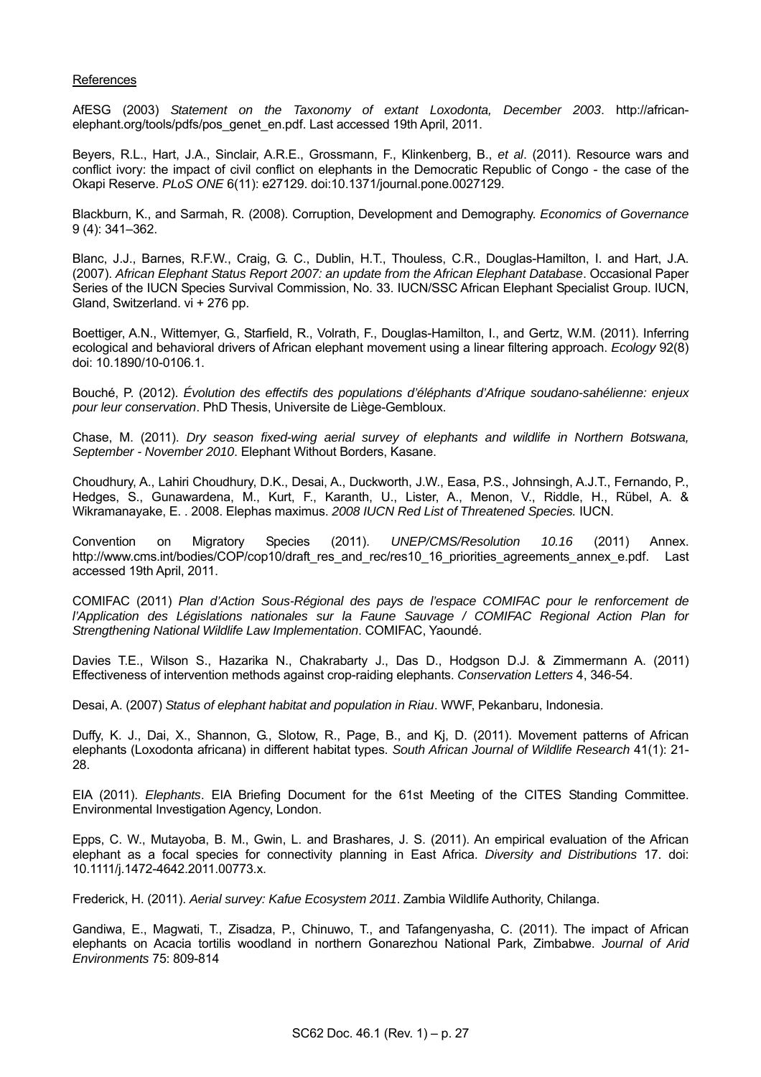### References

AfESG (2003) *Statement on the Taxonomy of extant Loxodonta, December 2003*. http://africanelephant.org/tools/pdfs/pos\_genet\_en.pdf. Last accessed 19th April, 2011.

Beyers, R.L., Hart, J.A., Sinclair, A.R.E., Grossmann, F., Klinkenberg, B., *et al*. (2011). Resource wars and conflict ivory: the impact of civil conflict on elephants in the Democratic Republic of Congo - the case of the Okapi Reserve. *PLoS ONE* 6(11): e27129. doi:10.1371/journal.pone.0027129.

Blackburn, K., and Sarmah, R. (2008). Corruption, Development and Demography. *Economics of Governance* 9 (4): 341–362.

Blanc, J.J., Barnes, R.F.W., Craig, G. C., Dublin, H.T., Thouless, C.R., Douglas-Hamilton, I. and Hart, J.A. (2007). *African Elephant Status Report 2007: an update from the African Elephant Database*. Occasional Paper Series of the IUCN Species Survival Commission, No. 33. IUCN/SSC African Elephant Specialist Group. IUCN, Gland, Switzerland. vi + 276 pp.

Boettiger, A.N., Wittemyer, G., Starfield, R., Volrath, F., Douglas-Hamilton, I., and Gertz, W.M. (2011). Inferring ecological and behavioral drivers of African elephant movement using a linear filtering approach. *Ecology* 92(8) doi: 10.1890/10-0106.1.

Bouché, P. (2012). *Évolution des effectifs des populations d'éléphants d'Afrique soudano-sahélienne: enjeux pour leur conservation*. PhD Thesis, Universite de Liège-Gembloux.

Chase, M. (2011). *Dry season fixed-wing aerial survey of elephants and wildlife in Northern Botswana, September - November 2010*. Elephant Without Borders, Kasane.

Choudhury, A., Lahiri Choudhury, D.K., Desai, A., Duckworth, J.W., Easa, P.S., Johnsingh, A.J.T., Fernando, P., Hedges, S., Gunawardena, M., Kurt, F., Karanth, U., Lister, A., Menon, V., Riddle, H., Rübel, A. & Wikramanayake, E. . 2008. Elephas maximus. *2008 IUCN Red List of Threatened Species.* IUCN.

Convention on Migratory Species (2011). *UNEP/CMS/Resolution 10.16* (2011) Annex. http://www.cms.int/bodies/COP/cop10/draft\_res\_and\_rec/res10\_16\_priorities\_agreements\_annex\_e.pdf. Last accessed 19th April, 2011.

COMIFAC (2011) *Plan d'Action Sous-Régional des pays de l'espace COMIFAC pour le renforcement de l'Application des Législations nationales sur la Faune Sauvage / COMIFAC Regional Action Plan for Strengthening National Wildlife Law Implementation*. COMIFAC, Yaoundé.

Davies T.E., Wilson S., Hazarika N., Chakrabarty J., Das D., Hodgson D.J. & Zimmermann A. (2011) Effectiveness of intervention methods against crop-raiding elephants. *Conservation Letters* 4, 346-54.

Desai, A. (2007) *Status of elephant habitat and population in Riau*. WWF, Pekanbaru, Indonesia.

Duffy, K. J., Dai, X., Shannon, G., Slotow, R., Page, B., and Kj, D. (2011). Movement patterns of African elephants (Loxodonta africana) in different habitat types. *South African Journal of Wildlife Research* 41(1): 21- 28.

EIA (2011). *Elephants*. EIA Briefing Document for the 61st Meeting of the CITES Standing Committee. Environmental Investigation Agency, London.

Epps, C. W., Mutayoba, B. M., Gwin, L. and Brashares, J. S. (2011). An empirical evaluation of the African elephant as a focal species for connectivity planning in East Africa. *Diversity and Distributions* 17. doi: 10.1111/j.1472-4642.2011.00773.x.

Frederick, H. (2011). *Aerial survey: Kafue Ecosystem 2011*. Zambia Wildlife Authority, Chilanga.

Gandiwa, E., Magwati, T., Zisadza, P., Chinuwo, T., and Tafangenyasha, C. (2011). The impact of African elephants on Acacia tortilis woodland in northern Gonarezhou National Park, Zimbabwe. *Journal of Arid Environments* 75: 809-814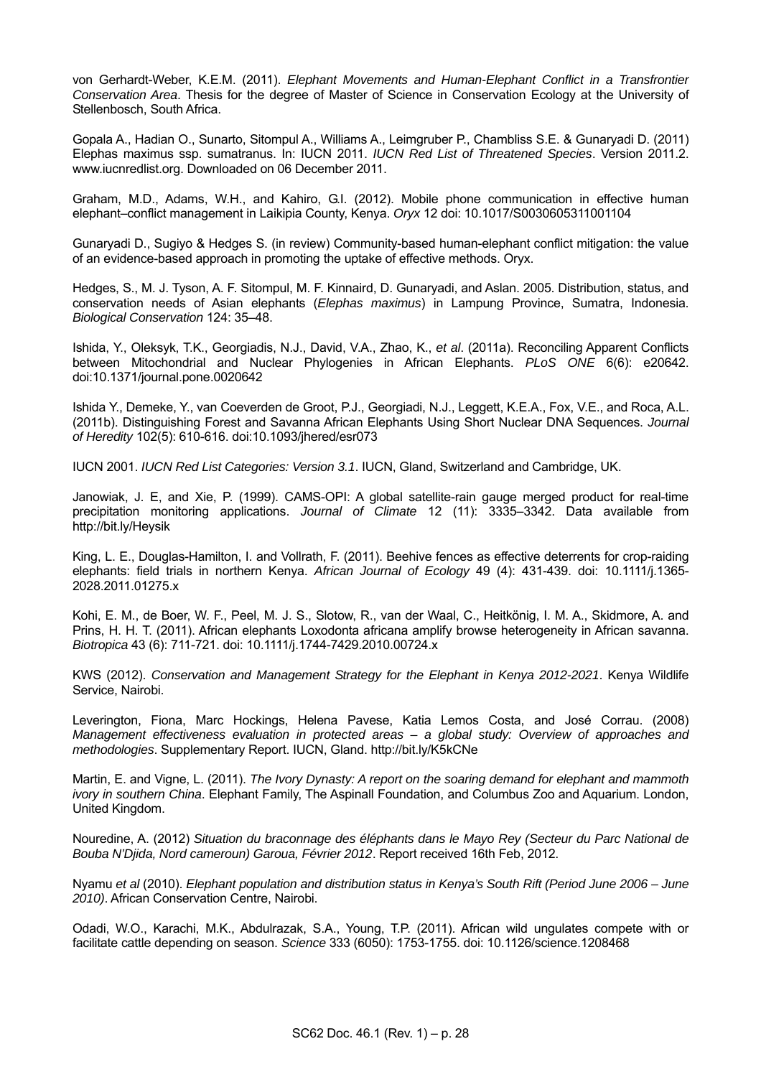von Gerhardt-Weber, K.E.M. (2011). *Elephant Movements and Human-Elephant Conflict in a Transfrontier Conservation Area*. Thesis for the degree of Master of Science in Conservation Ecology at the University of Stellenbosch, South Africa.

Gopala A., Hadian O., Sunarto, Sitompul A., Williams A., Leimgruber P., Chambliss S.E. & Gunaryadi D. (2011) Elephas maximus ssp. sumatranus. In: IUCN 2011. *IUCN Red List of Threatened Species*. Version 2011.2. www.iucnredlist.org. Downloaded on 06 December 2011.

Graham, M.D., Adams, W.H., and Kahiro, G.I. (2012). Mobile phone communication in effective human elephant–conflict management in Laikipia County, Kenya. *Oryx* 12 doi: 10.1017/S0030605311001104

Gunaryadi D., Sugiyo & Hedges S. (in review) Community-based human-elephant conflict mitigation: the value of an evidence-based approach in promoting the uptake of effective methods. Oryx.

Hedges, S., M. J. Tyson, A. F. Sitompul, M. F. Kinnaird, D. Gunaryadi, and Aslan. 2005. Distribution, status, and conservation needs of Asian elephants (*Elephas maximus*) in Lampung Province, Sumatra, Indonesia. *Biological Conservation* 124: 35–48.

Ishida, Y., Oleksyk, T.K., Georgiadis, N.J., David, V.A., Zhao, K., *et al*. (2011a). Reconciling Apparent Conflicts between Mitochondrial and Nuclear Phylogenies in African Elephants. *PLoS ONE* 6(6): e20642. doi:10.1371/journal.pone.0020642

Ishida Y., Demeke, Y., van Coeverden de Groot, P.J., Georgiadi, N.J., Leggett, K.E.A., Fox, V.E., and Roca, A.L. (2011b). Distinguishing Forest and Savanna African Elephants Using Short Nuclear DNA Sequences. *Journal of Heredity* 102(5): 610-616. doi:10.1093/jhered/esr073

IUCN 2001. *IUCN Red List Categories: Version 3.1*. IUCN, Gland, Switzerland and Cambridge, UK.

Janowiak, J. E, and Xie, P. (1999). CAMS-OPI: A global satellite-rain gauge merged product for real-time precipitation monitoring applications. *Journal of Climate* 12 (11): 3335–3342. Data available from http://bit.ly/Heysik

King, L. E., Douglas-Hamilton, I. and Vollrath, F. (2011). Beehive fences as effective deterrents for crop-raiding elephants: field trials in northern Kenya. *African Journal of Ecology* 49 (4): 431-439. doi: 10.1111/j.1365- 2028.2011.01275.x

Kohi, E. M., de Boer, W. F., Peel, M. J. S., Slotow, R., van der Waal, C., Heitkönig, I. M. A., Skidmore, A. and Prins, H. H. T. (2011). African elephants Loxodonta africana amplify browse heterogeneity in African savanna. *Biotropica* 43 (6): 711-721. doi: 10.1111/j.1744-7429.2010.00724.x

KWS (2012). *Conservation and Management Strategy for the Elephant in Kenya 2012-2021*. Kenya Wildlife Service, Nairobi.

Leverington, Fiona, Marc Hockings, Helena Pavese, Katia Lemos Costa, and José Corrau. (2008) *Management effectiveness evaluation in protected areas – a global study: Overview of approaches and methodologies*. Supplementary Report. IUCN, Gland. http://bit.ly/K5kCNe

Martin, E. and Vigne, L. (2011). *The Ivory Dynasty: A report on the soaring demand for elephant and mammoth ivory in southern China*. Elephant Family, The Aspinall Foundation, and Columbus Zoo and Aquarium. London, United Kingdom.

Nouredine, A. (2012) *Situation du braconnage des éléphants dans le Mayo Rey (Secteur du Parc National de Bouba N'Djida, Nord cameroun) Garoua, Février 2012*. Report received 16th Feb, 2012.

Nyamu *et al* (2010). *Elephant population and distribution status in Kenya's South Rift (Period June 2006 – June 2010)*. African Conservation Centre, Nairobi.

Odadi, W.O., Karachi, M.K., Abdulrazak, S.A., Young, T.P. (2011). African wild ungulates compete with or facilitate cattle depending on season. *Science* 333 (6050): 1753-1755. doi: 10.1126/science.1208468